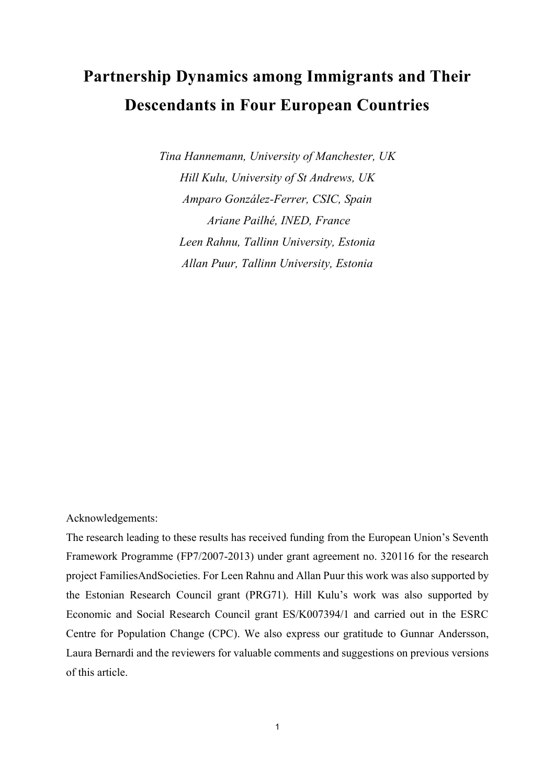# **Partnership Dynamics among Immigrants and Their Descendants in Four European Countries**

*Tina Hannemann, University of Manchester, UK Hill Kulu, University of St Andrews, UK Amparo González-Ferrer, CSIC, Spain Ariane Pailhé, INED, France Leen Rahnu, Tallinn University, Estonia Allan Puur, Tallinn University, Estonia*

## Acknowledgements:

The research leading to these results has received funding from the European Union's Seventh Framework Programme (FP7/2007-2013) under grant agreement no. 320116 for the research project FamiliesAndSocieties. For Leen Rahnu and Allan Puur this work was also supported by the Estonian Research Council grant (PRG71). Hill Kulu's work was also supported by Economic and Social Research Council grant ES/K007394/1 and carried out in the ESRC Centre for Population Change (CPC). We also express our gratitude to Gunnar Andersson, Laura Bernardi and the reviewers for valuable comments and suggestions on previous versions of this article.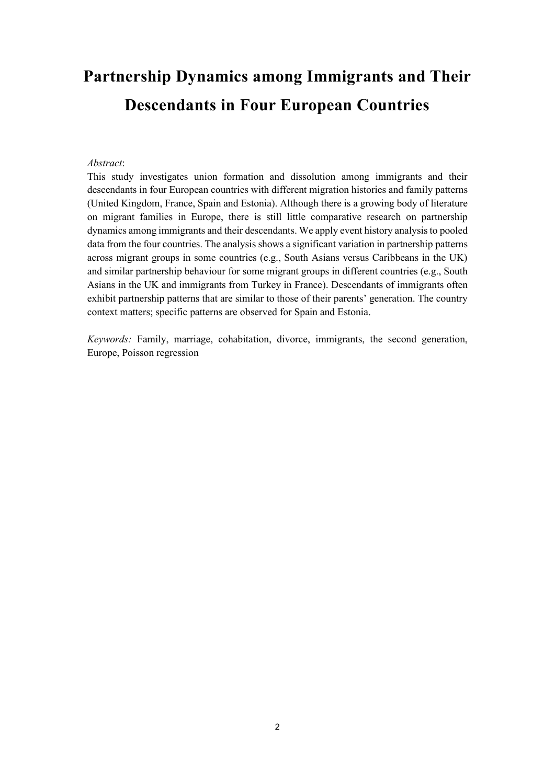# **Partnership Dynamics among Immigrants and Their Descendants in Four European Countries**

## *Abstract*:

This study investigates union formation and dissolution among immigrants and their descendants in four European countries with different migration histories and family patterns (United Kingdom, France, Spain and Estonia). Although there is a growing body of literature on migrant families in Europe, there is still little comparative research on partnership dynamics among immigrants and their descendants. We apply event history analysis to pooled data from the four countries. The analysis shows a significant variation in partnership patterns across migrant groups in some countries (e.g., South Asians versus Caribbeans in the UK) and similar partnership behaviour for some migrant groups in different countries (e.g., South Asians in the UK and immigrants from Turkey in France). Descendants of immigrants often exhibit partnership patterns that are similar to those of their parents' generation. The country context matters; specific patterns are observed for Spain and Estonia.

*Keywords:* Family, marriage, cohabitation, divorce, immigrants, the second generation, Europe, Poisson regression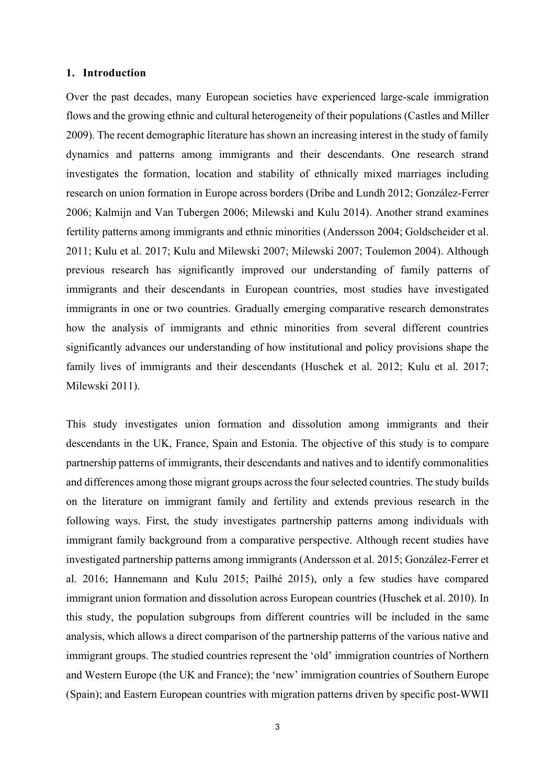## **1. Introduction**

Over the past decades, many European societies have experienced large-scale immigration flows and the growing ethnic and cultural heterogeneity of their populations (Castles and Miller 2009). The recent demographic literature has shown an increasing interest in the study of family dynamics and patterns among immigrants and their descendants. One research strand investigates the formation, location and stability of ethnically mixed marriages including research on union formation in Europe across borders (Dribe and Lundh 2012; González-Ferrer 2006; Kalmijn and Van Tubergen 2006; Milewski and Kulu 2014). Another strand examines fertility patterns among immigrants and ethnic minorities (Andersson 2004; Goldscheider et al. 2011; Kulu et al. 2017; Kulu and Milewski 2007; Milewski 2007; Toulemon 2004). Although previous research has significantly improved our understanding of family patterns of immigrants and their descendants in European countries, most studies have investigated immigrants in one or two countries. Gradually emerging comparative research demonstrates how the analysis of immigrants and ethnic minorities from several different countries significantly advances our understanding of how institutional and policy provisions shape the family lives of immigrants and their descendants (Huschek et al. 2012; Kulu et al. 2017; Milewski 2011).

This study investigates union formation and dissolution among immigrants and their descendants in the UK, France, Spain and Estonia. The objective of this study is to compare partnership patterns of immigrants, their descendants and natives and to identify commonalities and differences among those migrant groups across the four selected countries. The study builds on the literature on immigrant family and fertility and extends previous research in the following ways. First, the study investigates partnership patterns among individuals with immigrant family background from a comparative perspective. Although recent studies have investigated partnership patterns among immigrants (Andersson et al. 2015; González-Ferrer et al. 2016; Hannemann and Kulu 2015; Pailhé 2015), only a few studies have compared immigrant union formation and dissolution across European countries (Huschek et al. 2010). In this study, the population subgroups from different countries will be included in the same analysis, which allows a direct comparison of the partnership patterns of the various native and immigrant groups. The studied countries represent the 'old' immigration countries of Northern and Western Europe (the UK and France); the 'new' immigration countries of Southern Europe (Spain); and Eastern European countries with migration patterns driven by specific post-WWII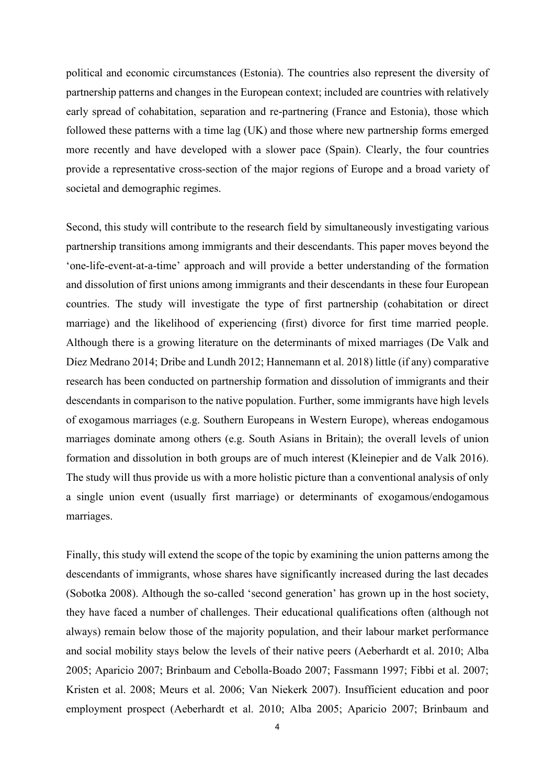political and economic circumstances (Estonia). The countries also represent the diversity of partnership patterns and changes in the European context; included are countries with relatively early spread of cohabitation, separation and re-partnering (France and Estonia), those which followed these patterns with a time lag (UK) and those where new partnership forms emerged more recently and have developed with a slower pace (Spain). Clearly, the four countries provide a representative cross-section of the major regions of Europe and a broad variety of societal and demographic regimes.

Second, this study will contribute to the research field by simultaneously investigating various partnership transitions among immigrants and their descendants. This paper moves beyond the 'one-life-event-at-a-time' approach and will provide a better understanding of the formation and dissolution of first unions among immigrants and their descendants in these four European countries. The study will investigate the type of first partnership (cohabitation or direct marriage) and the likelihood of experiencing (first) divorce for first time married people. Although there is a growing literature on the determinants of mixed marriages (De Valk and Díez Medrano 2014; Dribe and Lundh 2012; Hannemann et al. 2018) little (if any) comparative research has been conducted on partnership formation and dissolution of immigrants and their descendants in comparison to the native population. Further, some immigrants have high levels of exogamous marriages (e.g. Southern Europeans in Western Europe), whereas endogamous marriages dominate among others (e.g. South Asians in Britain); the overall levels of union formation and dissolution in both groups are of much interest (Kleinepier and de Valk 2016). The study will thus provide us with a more holistic picture than a conventional analysis of only a single union event (usually first marriage) or determinants of exogamous/endogamous marriages.

Finally, this study will extend the scope of the topic by examining the union patterns among the descendants of immigrants, whose shares have significantly increased during the last decades (Sobotka 2008). Although the so-called 'second generation' has grown up in the host society, they have faced a number of challenges. Their educational qualifications often (although not always) remain below those of the majority population, and their labour market performance and social mobility stays below the levels of their native peers (Aeberhardt et al. 2010; Alba 2005; Aparicio 2007; Brinbaum and Cebolla-Boado 2007; Fassmann 1997; Fibbi et al. 2007; Kristen et al. 2008; Meurs et al. 2006; Van Niekerk 2007). Insufficient education and poor employment prospect (Aeberhardt et al. 2010; Alba 2005; Aparicio 2007; Brinbaum and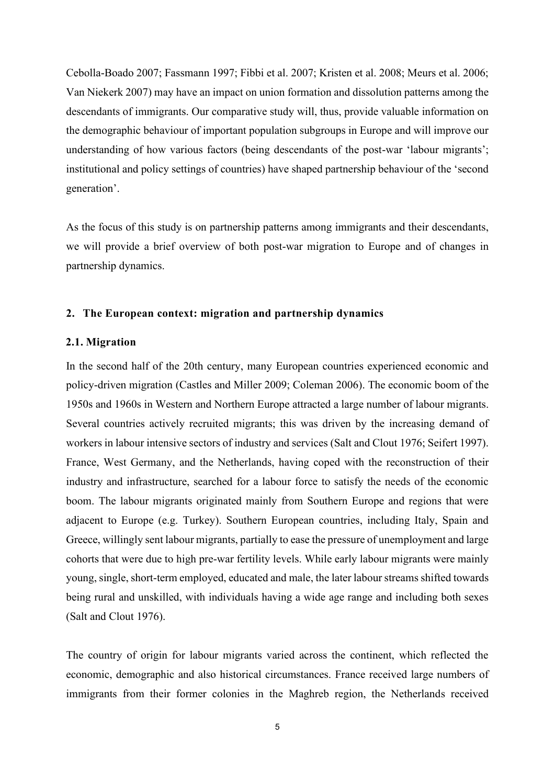Cebolla-Boado 2007; Fassmann 1997; Fibbi et al. 2007; Kristen et al. 2008; Meurs et al. 2006; Van Niekerk 2007) may have an impact on union formation and dissolution patterns among the descendants of immigrants. Our comparative study will, thus, provide valuable information on the demographic behaviour of important population subgroups in Europe and will improve our understanding of how various factors (being descendants of the post-war 'labour migrants'; institutional and policy settings of countries) have shaped partnership behaviour of the 'second generation'.

As the focus of this study is on partnership patterns among immigrants and their descendants, we will provide a brief overview of both post-war migration to Europe and of changes in partnership dynamics.

## **2. The European context: migration and partnership dynamics**

## **2.1. Migration**

In the second half of the 20th century, many European countries experienced economic and policy-driven migration (Castles and Miller 2009; Coleman 2006). The economic boom of the 1950s and 1960s in Western and Northern Europe attracted a large number of labour migrants. Several countries actively recruited migrants; this was driven by the increasing demand of workers in labour intensive sectors of industry and services (Salt and Clout 1976; Seifert 1997). France, West Germany, and the Netherlands, having coped with the reconstruction of their industry and infrastructure, searched for a labour force to satisfy the needs of the economic boom. The labour migrants originated mainly from Southern Europe and regions that were adjacent to Europe (e.g. Turkey). Southern European countries, including Italy, Spain and Greece, willingly sent labour migrants, partially to ease the pressure of unemployment and large cohorts that were due to high pre-war fertility levels. While early labour migrants were mainly young, single, short-term employed, educated and male, the later labour streams shifted towards being rural and unskilled, with individuals having a wide age range and including both sexes (Salt and Clout 1976).

The country of origin for labour migrants varied across the continent, which reflected the economic, demographic and also historical circumstances. France received large numbers of immigrants from their former colonies in the Maghreb region, the Netherlands received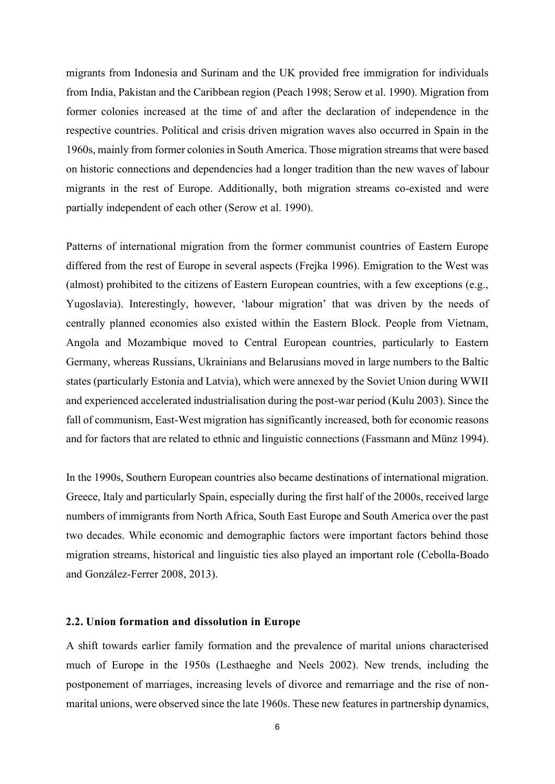migrants from Indonesia and Surinam and the UK provided free immigration for individuals from India, Pakistan and the Caribbean region (Peach 1998; Serow et al. 1990). Migration from former colonies increased at the time of and after the declaration of independence in the respective countries. Political and crisis driven migration waves also occurred in Spain in the 1960s, mainly from former colonies in South America. Those migration streams that were based on historic connections and dependencies had a longer tradition than the new waves of labour migrants in the rest of Europe. Additionally, both migration streams co-existed and were partially independent of each other (Serow et al. 1990).

Patterns of international migration from the former communist countries of Eastern Europe differed from the rest of Europe in several aspects (Frejka 1996). Emigration to the West was (almost) prohibited to the citizens of Eastern European countries, with a few exceptions (e.g., Yugoslavia). Interestingly, however, 'labour migration' that was driven by the needs of centrally planned economies also existed within the Eastern Block. People from Vietnam, Angola and Mozambique moved to Central European countries, particularly to Eastern Germany, whereas Russians, Ukrainians and Belarusians moved in large numbers to the Baltic states (particularly Estonia and Latvia), which were annexed by the Soviet Union during WWII and experienced accelerated industrialisation during the post-war period (Kulu 2003). Since the fall of communism, East-West migration has significantly increased, both for economic reasons and for factors that are related to ethnic and linguistic connections (Fassmann and Münz 1994).

In the 1990s, Southern European countries also became destinations of international migration. Greece, Italy and particularly Spain, especially during the first half of the 2000s, received large numbers of immigrants from North Africa, South East Europe and South America over the past two decades. While economic and demographic factors were important factors behind those migration streams, historical and linguistic ties also played an important role (Cebolla-Boado and González-Ferrer 2008, 2013).

## **2.2. Union formation and dissolution in Europe**

A shift towards earlier family formation and the prevalence of marital unions characterised much of Europe in the 1950s (Lesthaeghe and Neels 2002). New trends, including the postponement of marriages, increasing levels of divorce and remarriage and the rise of nonmarital unions, were observed since the late 1960s. These new features in partnership dynamics,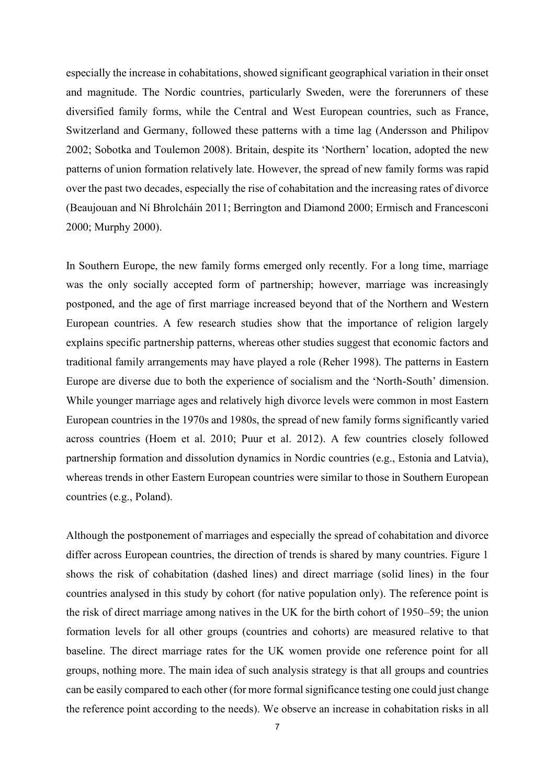especially the increase in cohabitations, showed significant geographical variation in their onset and magnitude. The Nordic countries, particularly Sweden, were the forerunners of these diversified family forms, while the Central and West European countries, such as France, Switzerland and Germany, followed these patterns with a time lag (Andersson and Philipov 2002; Sobotka and Toulemon 2008). Britain, despite its 'Northern' location, adopted the new patterns of union formation relatively late. However, the spread of new family forms was rapid over the past two decades, especially the rise of cohabitation and the increasing rates of divorce (Beaujouan and Ní Bhrolcháin 2011; Berrington and Diamond 2000; Ermisch and Francesconi 2000; Murphy 2000).

In Southern Europe, the new family forms emerged only recently. For a long time, marriage was the only socially accepted form of partnership; however, marriage was increasingly postponed, and the age of first marriage increased beyond that of the Northern and Western European countries. A few research studies show that the importance of religion largely explains specific partnership patterns, whereas other studies suggest that economic factors and traditional family arrangements may have played a role (Reher 1998). The patterns in Eastern Europe are diverse due to both the experience of socialism and the 'North-South' dimension. While younger marriage ages and relatively high divorce levels were common in most Eastern European countries in the 1970s and 1980s, the spread of new family forms significantly varied across countries (Hoem et al. 2010; Puur et al. 2012). A few countries closely followed partnership formation and dissolution dynamics in Nordic countries (e.g., Estonia and Latvia), whereas trends in other Eastern European countries were similar to those in Southern European countries (e.g., Poland).

Although the postponement of marriages and especially the spread of cohabitation and divorce differ across European countries, the direction of trends is shared by many countries. Figure 1 shows the risk of cohabitation (dashed lines) and direct marriage (solid lines) in the four countries analysed in this study by cohort (for native population only). The reference point is the risk of direct marriage among natives in the UK for the birth cohort of 1950–59; the union formation levels for all other groups (countries and cohorts) are measured relative to that baseline. The direct marriage rates for the UK women provide one reference point for all groups, nothing more. The main idea of such analysis strategy is that all groups and countries can be easily compared to each other (for more formal significance testing one could just change the reference point according to the needs). We observe an increase in cohabitation risks in all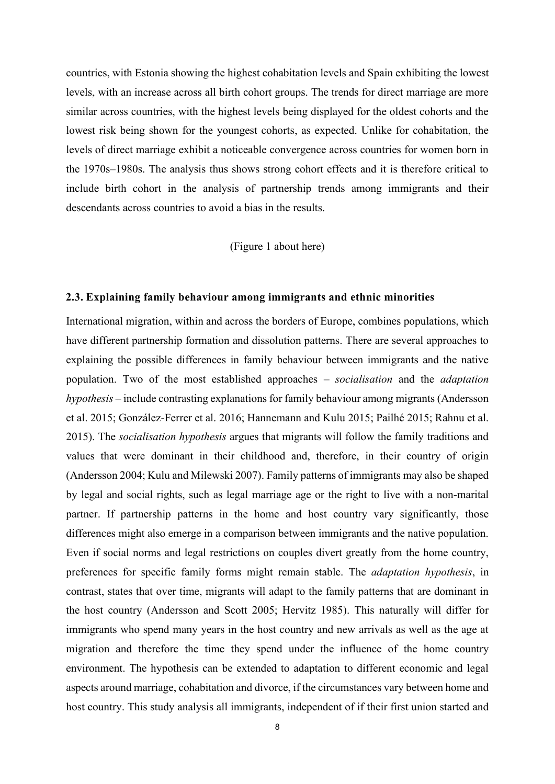countries, with Estonia showing the highest cohabitation levels and Spain exhibiting the lowest levels, with an increase across all birth cohort groups. The trends for direct marriage are more similar across countries, with the highest levels being displayed for the oldest cohorts and the lowest risk being shown for the youngest cohorts, as expected. Unlike for cohabitation, the levels of direct marriage exhibit a noticeable convergence across countries for women born in the 1970s–1980s. The analysis thus shows strong cohort effects and it is therefore critical to include birth cohort in the analysis of partnership trends among immigrants and their descendants across countries to avoid a bias in the results.

(Figure 1 about here)

## **2.3. Explaining family behaviour among immigrants and ethnic minorities**

International migration, within and across the borders of Europe, combines populations, which have different partnership formation and dissolution patterns. There are several approaches to explaining the possible differences in family behaviour between immigrants and the native population. Two of the most established approaches – *socialisation* and the *adaptation hypothesis* – include contrasting explanations for family behaviour among migrants (Andersson et al. 2015; González-Ferrer et al. 2016; Hannemann and Kulu 2015; Pailhé 2015; Rahnu et al. 2015). The *socialisation hypothesis* argues that migrants will follow the family traditions and values that were dominant in their childhood and, therefore, in their country of origin (Andersson 2004; Kulu and Milewski 2007). Family patterns of immigrants may also be shaped by legal and social rights, such as legal marriage age or the right to live with a non-marital partner. If partnership patterns in the home and host country vary significantly, those differences might also emerge in a comparison between immigrants and the native population. Even if social norms and legal restrictions on couples divert greatly from the home country, preferences for specific family forms might remain stable. The *adaptation hypothesis*, in contrast, states that over time, migrants will adapt to the family patterns that are dominant in the host country (Andersson and Scott 2005; Hervitz 1985). This naturally will differ for immigrants who spend many years in the host country and new arrivals as well as the age at migration and therefore the time they spend under the influence of the home country environment. The hypothesis can be extended to adaptation to different economic and legal aspects around marriage, cohabitation and divorce, if the circumstances vary between home and host country. This study analysis all immigrants, independent of if their first union started and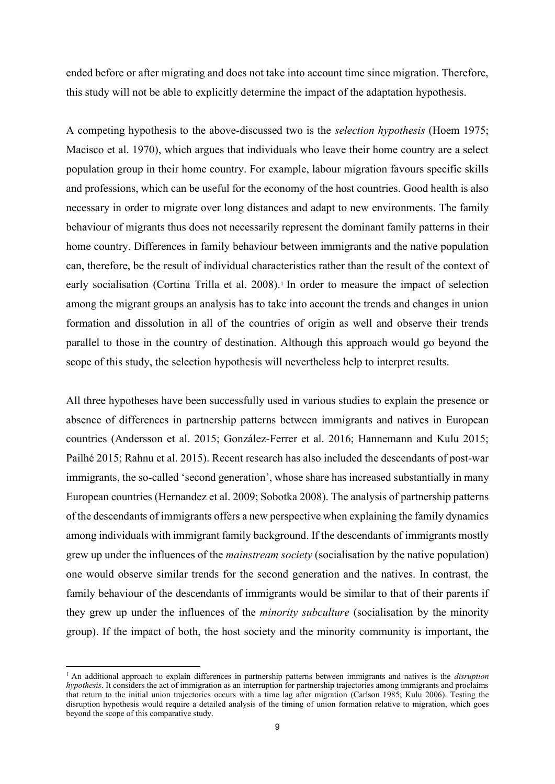ended before or after migrating and does not take into account time since migration. Therefore, this study will not be able to explicitly determine the impact of the adaptation hypothesis.

A competing hypothesis to the above-discussed two is the *selection hypothesis* (Hoem 1975; Macisco et al. 1970), which argues that individuals who leave their home country are a select population group in their home country. For example, labour migration favours specific skills and professions, which can be useful for the economy of the host countries. Good health is also necessary in order to migrate over long distances and adapt to new environments. The family behaviour of migrants thus does not necessarily represent the dominant family patterns in their home country. Differences in family behaviour between immigrants and the native population can, therefore, be the result of individual characteristics rather than the result of the context of early socialisation (Cortina Trilla et al. 2008). 1 In order to measure the impact of selection among the migrant groups an analysis has to take into account the trends and changes in union formation and dissolution in all of the countries of origin as well and observe their trends parallel to those in the country of destination. Although this approach would go beyond the scope of this study, the selection hypothesis will nevertheless help to interpret results.

All three hypotheses have been successfully used in various studies to explain the presence or absence of differences in partnership patterns between immigrants and natives in European countries (Andersson et al. 2015; González-Ferrer et al. 2016; Hannemann and Kulu 2015; Pailhé 2015; Rahnu et al. 2015). Recent research has also included the descendants of post-war immigrants, the so-called 'second generation', whose share has increased substantially in many European countries (Hernandez et al. 2009; Sobotka 2008). The analysis of partnership patterns of the descendants of immigrants offers a new perspective when explaining the family dynamics among individuals with immigrant family background. If the descendants of immigrants mostly grew up under the influences of the *mainstream society* (socialisation by the native population) one would observe similar trends for the second generation and the natives. In contrast, the family behaviour of the descendants of immigrants would be similar to that of their parents if they grew up under the influences of the *minority subculture* (socialisation by the minority group). If the impact of both, the host society and the minority community is important, the

<sup>1</sup> An additional approach to explain differences in partnership patterns between immigrants and natives is the *disruption hypothesis*. It considers the act of immigration as an interruption for partnership trajectories among immigrants and proclaims that return to the initial union trajectories occurs with a time lag after migration (Carlson 1985; Kulu 2006). Testing the disruption hypothesis would require a detailed analysis of the timing of union formation relative to migration, which goes beyond the scope of this comparative study.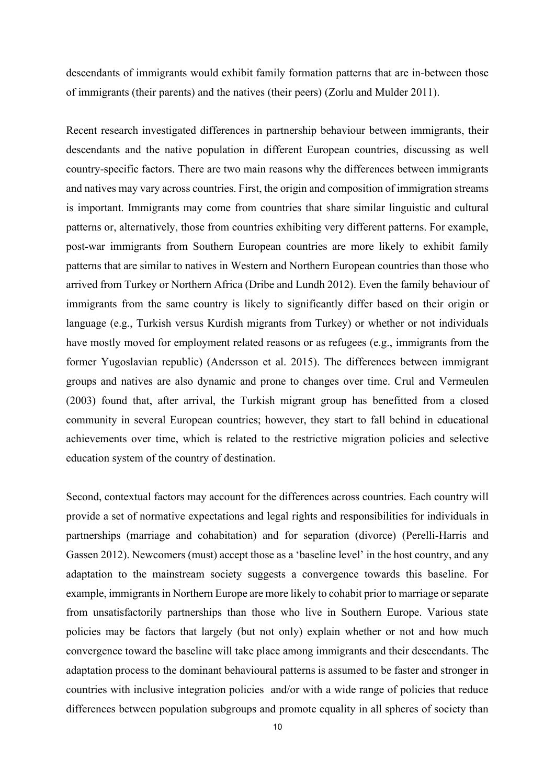descendants of immigrants would exhibit family formation patterns that are in-between those of immigrants (their parents) and the natives (their peers) (Zorlu and Mulder 2011).

Recent research investigated differences in partnership behaviour between immigrants, their descendants and the native population in different European countries, discussing as well country-specific factors. There are two main reasons why the differences between immigrants and natives may vary across countries. First, the origin and composition of immigration streams is important. Immigrants may come from countries that share similar linguistic and cultural patterns or, alternatively, those from countries exhibiting very different patterns. For example, post-war immigrants from Southern European countries are more likely to exhibit family patterns that are similar to natives in Western and Northern European countries than those who arrived from Turkey or Northern Africa (Dribe and Lundh 2012). Even the family behaviour of immigrants from the same country is likely to significantly differ based on their origin or language (e.g., Turkish versus Kurdish migrants from Turkey) or whether or not individuals have mostly moved for employment related reasons or as refugees (e.g., immigrants from the former Yugoslavian republic) (Andersson et al. 2015). The differences between immigrant groups and natives are also dynamic and prone to changes over time. Crul and Vermeulen (2003) found that, after arrival, the Turkish migrant group has benefitted from a closed community in several European countries; however, they start to fall behind in educational achievements over time, which is related to the restrictive migration policies and selective education system of the country of destination.

Second, contextual factors may account for the differences across countries. Each country will provide a set of normative expectations and legal rights and responsibilities for individuals in partnerships (marriage and cohabitation) and for separation (divorce) (Perelli-Harris and Gassen 2012). Newcomers (must) accept those as a 'baseline level' in the host country, and any adaptation to the mainstream society suggests a convergence towards this baseline. For example, immigrants in Northern Europe are more likely to cohabit prior to marriage or separate from unsatisfactorily partnerships than those who live in Southern Europe. Various state policies may be factors that largely (but not only) explain whether or not and how much convergence toward the baseline will take place among immigrants and their descendants. The adaptation process to the dominant behavioural patterns is assumed to be faster and stronger in countries with inclusive integration policies and/or with a wide range of policies that reduce differences between population subgroups and promote equality in all spheres of society than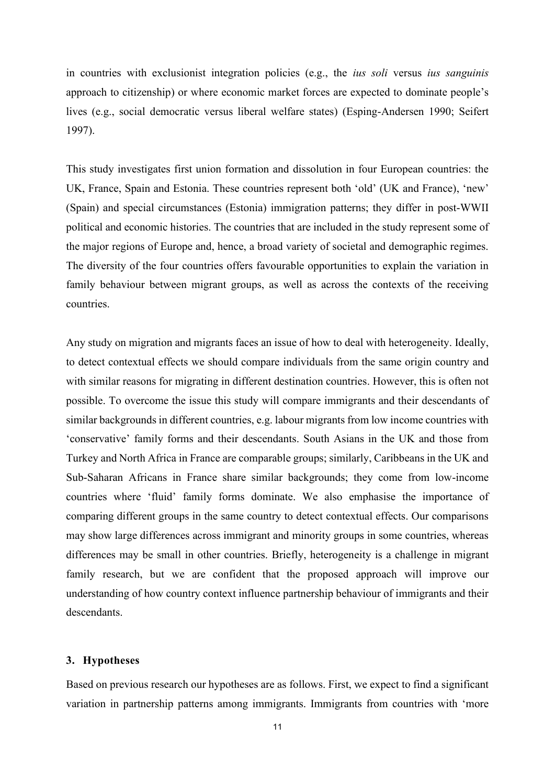in countries with exclusionist integration policies (e.g., the *ius soli* versus *ius sanguinis* approach to citizenship) or where economic market forces are expected to dominate people's lives (e.g., social democratic versus liberal welfare states) (Esping-Andersen 1990; Seifert 1997).

This study investigates first union formation and dissolution in four European countries: the UK, France, Spain and Estonia. These countries represent both 'old' (UK and France), 'new' (Spain) and special circumstances (Estonia) immigration patterns; they differ in post-WWII political and economic histories. The countries that are included in the study represent some of the major regions of Europe and, hence, a broad variety of societal and demographic regimes. The diversity of the four countries offers favourable opportunities to explain the variation in family behaviour between migrant groups, as well as across the contexts of the receiving countries.

Any study on migration and migrants faces an issue of how to deal with heterogeneity. Ideally, to detect contextual effects we should compare individuals from the same origin country and with similar reasons for migrating in different destination countries. However, this is often not possible. To overcome the issue this study will compare immigrants and their descendants of similar backgrounds in different countries, e.g. labour migrants from low income countries with 'conservative' family forms and their descendants. South Asians in the UK and those from Turkey and North Africa in France are comparable groups; similarly, Caribbeans in the UK and Sub-Saharan Africans in France share similar backgrounds; they come from low-income countries where 'fluid' family forms dominate. We also emphasise the importance of comparing different groups in the same country to detect contextual effects. Our comparisons may show large differences across immigrant and minority groups in some countries, whereas differences may be small in other countries. Briefly, heterogeneity is a challenge in migrant family research, but we are confident that the proposed approach will improve our understanding of how country context influence partnership behaviour of immigrants and their descendants.

## **3. Hypotheses**

Based on previous research our hypotheses are as follows. First, we expect to find a significant variation in partnership patterns among immigrants. Immigrants from countries with 'more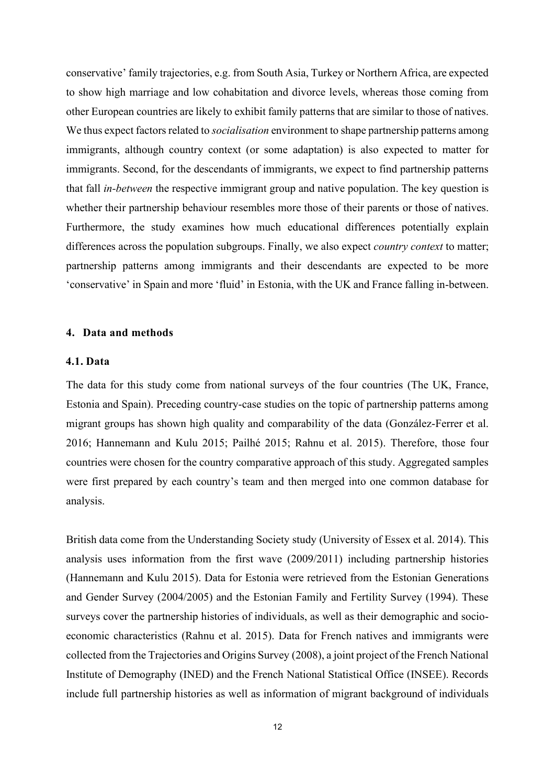conservative' family trajectories, e.g. from South Asia, Turkey or Northern Africa, are expected to show high marriage and low cohabitation and divorce levels, whereas those coming from other European countries are likely to exhibit family patterns that are similar to those of natives. We thus expect factors related to *socialisation* environment to shape partnership patterns among immigrants, although country context (or some adaptation) is also expected to matter for immigrants. Second, for the descendants of immigrants, we expect to find partnership patterns that fall *in-between* the respective immigrant group and native population. The key question is whether their partnership behaviour resembles more those of their parents or those of natives. Furthermore, the study examines how much educational differences potentially explain differences across the population subgroups. Finally, we also expect *country context* to matter; partnership patterns among immigrants and their descendants are expected to be more 'conservative' in Spain and more 'fluid' in Estonia, with the UK and France falling in-between.

# **4. Data and methods**

# **4.1. Data**

The data for this study come from national surveys of the four countries (The UK, France, Estonia and Spain). Preceding country-case studies on the topic of partnership patterns among migrant groups has shown high quality and comparability of the data (González-Ferrer et al. 2016; Hannemann and Kulu 2015; Pailhé 2015; Rahnu et al. 2015). Therefore, those four countries were chosen for the country comparative approach of this study. Aggregated samples were first prepared by each country's team and then merged into one common database for analysis.

British data come from the Understanding Society study (University of Essex et al. 2014). This analysis uses information from the first wave (2009/2011) including partnership histories (Hannemann and Kulu 2015). Data for Estonia were retrieved from the Estonian Generations and Gender Survey (2004/2005) and the Estonian Family and Fertility Survey (1994). These surveys cover the partnership histories of individuals, as well as their demographic and socioeconomic characteristics (Rahnu et al. 2015). Data for French natives and immigrants were collected from the Trajectories and Origins Survey (2008), a joint project of the French National Institute of Demography (INED) and the French National Statistical Office (INSEE). Records include full partnership histories as well as information of migrant background of individuals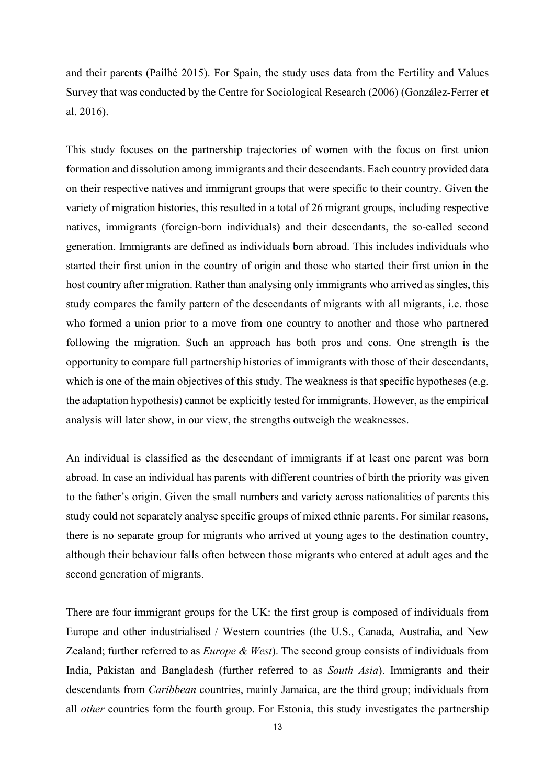and their parents (Pailhé 2015). For Spain, the study uses data from the Fertility and Values Survey that was conducted by the Centre for Sociological Research (2006) (González-Ferrer et al. 2016).

This study focuses on the partnership trajectories of women with the focus on first union formation and dissolution among immigrants and their descendants. Each country provided data on their respective natives and immigrant groups that were specific to their country. Given the variety of migration histories, this resulted in a total of 26 migrant groups, including respective natives, immigrants (foreign-born individuals) and their descendants, the so-called second generation. Immigrants are defined as individuals born abroad. This includes individuals who started their first union in the country of origin and those who started their first union in the host country after migration. Rather than analysing only immigrants who arrived as singles, this study compares the family pattern of the descendants of migrants with all migrants, i.e. those who formed a union prior to a move from one country to another and those who partnered following the migration. Such an approach has both pros and cons. One strength is the opportunity to compare full partnership histories of immigrants with those of their descendants, which is one of the main objectives of this study. The weakness is that specific hypotheses (e.g. the adaptation hypothesis) cannot be explicitly tested for immigrants. However, as the empirical analysis will later show, in our view, the strengths outweigh the weaknesses.

An individual is classified as the descendant of immigrants if at least one parent was born abroad. In case an individual has parents with different countries of birth the priority was given to the father's origin. Given the small numbers and variety across nationalities of parents this study could not separately analyse specific groups of mixed ethnic parents. For similar reasons, there is no separate group for migrants who arrived at young ages to the destination country, although their behaviour falls often between those migrants who entered at adult ages and the second generation of migrants.

There are four immigrant groups for the UK: the first group is composed of individuals from Europe and other industrialised / Western countries (the U.S., Canada, Australia, and New Zealand; further referred to as *Europe & West*). The second group consists of individuals from India, Pakistan and Bangladesh (further referred to as *South Asia*). Immigrants and their descendants from *Caribbean* countries, mainly Jamaica, are the third group; individuals from all *other* countries form the fourth group. For Estonia, this study investigates the partnership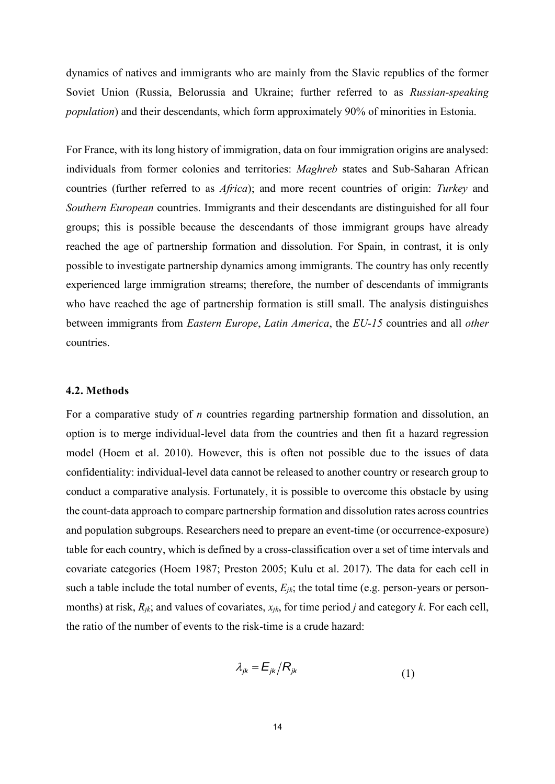dynamics of natives and immigrants who are mainly from the Slavic republics of the former Soviet Union (Russia, Belorussia and Ukraine; further referred to as *Russian-speaking population*) and their descendants, which form approximately 90% of minorities in Estonia.

For France, with its long history of immigration, data on four immigration origins are analysed: individuals from former colonies and territories: *Maghreb* states and Sub-Saharan African countries (further referred to as *Africa*); and more recent countries of origin: *Turkey* and *Southern European* countries. Immigrants and their descendants are distinguished for all four groups; this is possible because the descendants of those immigrant groups have already reached the age of partnership formation and dissolution. For Spain, in contrast, it is only possible to investigate partnership dynamics among immigrants. The country has only recently experienced large immigration streams; therefore, the number of descendants of immigrants who have reached the age of partnership formation is still small. The analysis distinguishes between immigrants from *Eastern Europe*, *Latin America*, the *EU-15* countries and all *other* countries.

#### **4.2. Methods**

For a comparative study of *n* countries regarding partnership formation and dissolution, an option is to merge individual-level data from the countries and then fit a hazard regression model (Hoem et al. 2010). However, this is often not possible due to the issues of data confidentiality: individual-level data cannot be released to another country or research group to conduct a comparative analysis. Fortunately, it is possible to overcome this obstacle by using the count-data approach to compare partnership formation and dissolution rates across countries and population subgroups. Researchers need to prepare an event-time (or occurrence-exposure) table for each country, which is defined by a cross-classification over a set of time intervals and covariate categories (Hoem 1987; Preston 2005; Kulu et al. 2017). The data for each cell in such a table include the total number of events, *Ejk*; the total time (e.g. person-years or personmonths) at risk, *Rjk*; and values of covariates, *xjk*, for time period *j* and category *k*. For each cell, the ratio of the number of events to the risk-time is a crude hazard:

$$
\lambda_{jk} = E_{jk} / R_{jk} \tag{1}
$$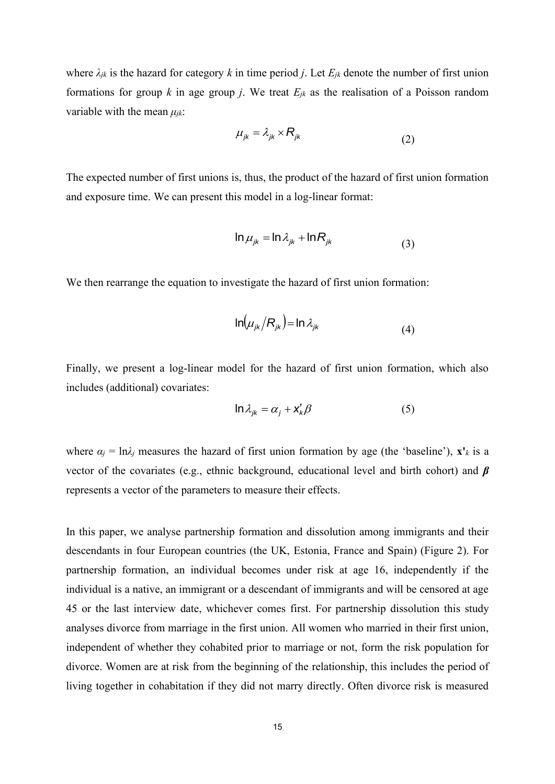where  $\lambda_{jk}$  is the hazard for category  $k$  in time period  $j$ . Let  $E_{jk}$  denote the number of first union formations for group  $k$  in age group  $j$ . We treat  $E_{jk}$  as the realisation of a Poisson random variable with the mean *μjk*:

$$
\mu_{jk} = \lambda_{jk} \times R_{jk} \tag{2}
$$

The expected number of first unions is, thus, the product of the hazard of first union formation and exposure time. We can present this model in a log-linear format:

$$
\ln \mu_{jk} = \ln \lambda_{jk} + \ln R_{jk}
$$
 (3)

We then rearrange the equation to investigate the hazard of first union formation:

 $\mathcal{L}$ 

$$
\ln(\mu_{jk}/R_{jk}) = \ln \lambda_{jk} \tag{4}
$$

Finally, we present a log-linear model for the hazard of first union formation, which also includes (additional) covariates:

$$
\ln \lambda_{jk} = \alpha_j + x'_k \beta \tag{5}
$$

where  $\alpha_j = \ln \lambda_j$  measures the hazard of first union formation by age (the 'baseline'),  $\mathbf{x}'_k$  is a vector of the covariates (e.g., ethnic background, educational level and birth cohort) and *β* represents a vector of the parameters to measure their effects.

In this paper, we analyse partnership formation and dissolution among immigrants and their descendants in four European countries (the UK, Estonia, France and Spain) (Figure 2). For partnership formation, an individual becomes under risk at age 16, independently if the individual is a native, an immigrant or a descendant of immigrants and will be censored at age 45 or the last interview date, whichever comes first. For partnership dissolution this study analyses divorce from marriage in the first union. All women who married in their first union, independent of whether they cohabited prior to marriage or not, form the risk population for divorce. Women are at risk from the beginning of the relationship, this includes the period of living together in cohabitation if they did not marry directly. Often divorce risk is measured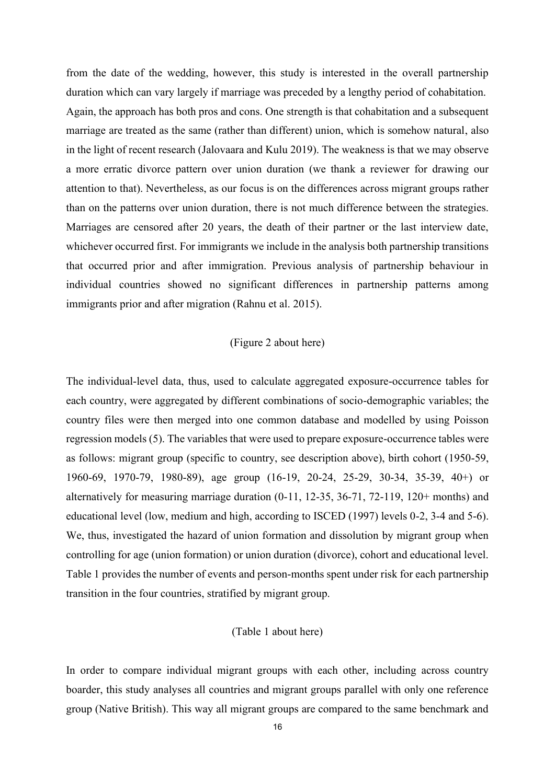from the date of the wedding, however, this study is interested in the overall partnership duration which can vary largely if marriage was preceded by a lengthy period of cohabitation. Again, the approach has both pros and cons. One strength is that cohabitation and a subsequent marriage are treated as the same (rather than different) union, which is somehow natural, also in the light of recent research (Jalovaara and Kulu 2019). The weakness is that we may observe a more erratic divorce pattern over union duration (we thank a reviewer for drawing our attention to that). Nevertheless, as our focus is on the differences across migrant groups rather than on the patterns over union duration, there is not much difference between the strategies. Marriages are censored after 20 years, the death of their partner or the last interview date, whichever occurred first. For immigrants we include in the analysis both partnership transitions that occurred prior and after immigration. Previous analysis of partnership behaviour in individual countries showed no significant differences in partnership patterns among immigrants prior and after migration (Rahnu et al. 2015).

## (Figure 2 about here)

The individual-level data, thus, used to calculate aggregated exposure-occurrence tables for each country, were aggregated by different combinations of socio-demographic variables; the country files were then merged into one common database and modelled by using Poisson regression models (5). The variables that were used to prepare exposure-occurrence tables were as follows: migrant group (specific to country, see description above), birth cohort (1950-59, 1960-69, 1970-79, 1980-89), age group (16-19, 20-24, 25-29, 30-34, 35-39, 40+) or alternatively for measuring marriage duration (0-11, 12-35, 36-71, 72-119, 120+ months) and educational level (low, medium and high, according to ISCED (1997) levels 0-2, 3-4 and 5-6). We, thus, investigated the hazard of union formation and dissolution by migrant group when controlling for age (union formation) or union duration (divorce), cohort and educational level. Table 1 provides the number of events and person-months spent under risk for each partnership transition in the four countries, stratified by migrant group.

## (Table 1 about here)

In order to compare individual migrant groups with each other, including across country boarder, this study analyses all countries and migrant groups parallel with only one reference group (Native British). This way all migrant groups are compared to the same benchmark and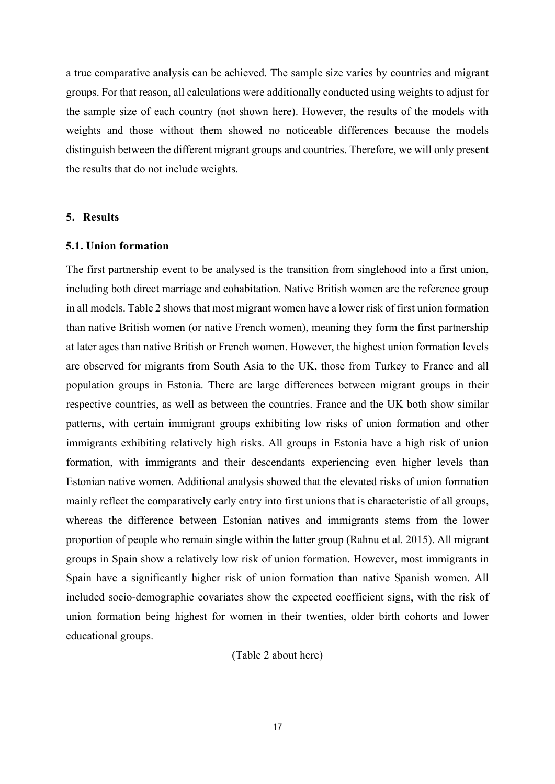a true comparative analysis can be achieved. The sample size varies by countries and migrant groups. For that reason, all calculations were additionally conducted using weights to adjust for the sample size of each country (not shown here). However, the results of the models with weights and those without them showed no noticeable differences because the models distinguish between the different migrant groups and countries. Therefore, we will only present the results that do not include weights.

#### **5. Results**

## **5.1. Union formation**

The first partnership event to be analysed is the transition from singlehood into a first union, including both direct marriage and cohabitation. Native British women are the reference group in all models. Table 2 shows that most migrant women have a lower risk of first union formation than native British women (or native French women), meaning they form the first partnership at later ages than native British or French women. However, the highest union formation levels are observed for migrants from South Asia to the UK, those from Turkey to France and all population groups in Estonia. There are large differences between migrant groups in their respective countries, as well as between the countries. France and the UK both show similar patterns, with certain immigrant groups exhibiting low risks of union formation and other immigrants exhibiting relatively high risks. All groups in Estonia have a high risk of union formation, with immigrants and their descendants experiencing even higher levels than Estonian native women. Additional analysis showed that the elevated risks of union formation mainly reflect the comparatively early entry into first unions that is characteristic of all groups, whereas the difference between Estonian natives and immigrants stems from the lower proportion of people who remain single within the latter group (Rahnu et al. 2015). All migrant groups in Spain show a relatively low risk of union formation. However, most immigrants in Spain have a significantly higher risk of union formation than native Spanish women. All included socio-demographic covariates show the expected coefficient signs, with the risk of union formation being highest for women in their twenties, older birth cohorts and lower educational groups.

#### (Table 2 about here)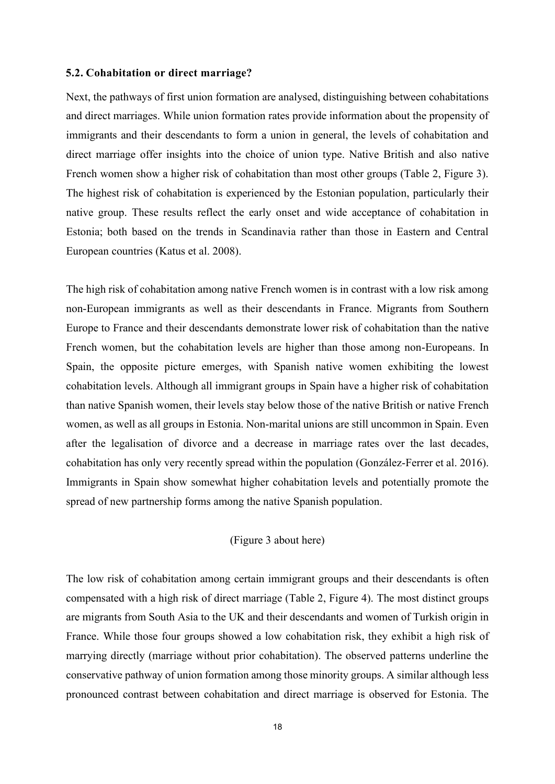## **5.2. Cohabitation or direct marriage?**

Next, the pathways of first union formation are analysed, distinguishing between cohabitations and direct marriages. While union formation rates provide information about the propensity of immigrants and their descendants to form a union in general, the levels of cohabitation and direct marriage offer insights into the choice of union type. Native British and also native French women show a higher risk of cohabitation than most other groups (Table 2, Figure 3). The highest risk of cohabitation is experienced by the Estonian population, particularly their native group. These results reflect the early onset and wide acceptance of cohabitation in Estonia; both based on the trends in Scandinavia rather than those in Eastern and Central European countries (Katus et al. 2008).

The high risk of cohabitation among native French women is in contrast with a low risk among non-European immigrants as well as their descendants in France. Migrants from Southern Europe to France and their descendants demonstrate lower risk of cohabitation than the native French women, but the cohabitation levels are higher than those among non-Europeans. In Spain, the opposite picture emerges, with Spanish native women exhibiting the lowest cohabitation levels. Although all immigrant groups in Spain have a higher risk of cohabitation than native Spanish women, their levels stay below those of the native British or native French women, as well as all groups in Estonia. Non-marital unions are still uncommon in Spain. Even after the legalisation of divorce and a decrease in marriage rates over the last decades, cohabitation has only very recently spread within the population (González-Ferrer et al. 2016). Immigrants in Spain show somewhat higher cohabitation levels and potentially promote the spread of new partnership forms among the native Spanish population.

## (Figure 3 about here)

The low risk of cohabitation among certain immigrant groups and their descendants is often compensated with a high risk of direct marriage (Table 2, Figure 4). The most distinct groups are migrants from South Asia to the UK and their descendants and women of Turkish origin in France. While those four groups showed a low cohabitation risk, they exhibit a high risk of marrying directly (marriage without prior cohabitation). The observed patterns underline the conservative pathway of union formation among those minority groups. A similar although less pronounced contrast between cohabitation and direct marriage is observed for Estonia. The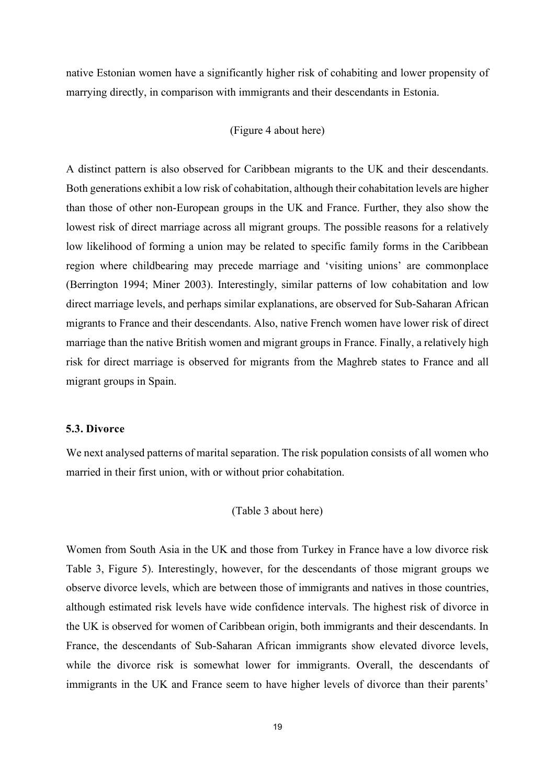native Estonian women have a significantly higher risk of cohabiting and lower propensity of marrying directly, in comparison with immigrants and their descendants in Estonia.

## (Figure 4 about here)

A distinct pattern is also observed for Caribbean migrants to the UK and their descendants. Both generations exhibit a low risk of cohabitation, although their cohabitation levels are higher than those of other non-European groups in the UK and France. Further, they also show the lowest risk of direct marriage across all migrant groups. The possible reasons for a relatively low likelihood of forming a union may be related to specific family forms in the Caribbean region where childbearing may precede marriage and 'visiting unions' are commonplace (Berrington 1994; Miner 2003). Interestingly, similar patterns of low cohabitation and low direct marriage levels, and perhaps similar explanations, are observed for Sub-Saharan African migrants to France and their descendants. Also, native French women have lower risk of direct marriage than the native British women and migrant groups in France. Finally, a relatively high risk for direct marriage is observed for migrants from the Maghreb states to France and all migrant groups in Spain.

## **5.3. Divorce**

We next analysed patterns of marital separation. The risk population consists of all women who married in their first union, with or without prior cohabitation.

#### (Table 3 about here)

Women from South Asia in the UK and those from Turkey in France have a low divorce risk Table 3, Figure 5). Interestingly, however, for the descendants of those migrant groups we observe divorce levels, which are between those of immigrants and natives in those countries, although estimated risk levels have wide confidence intervals. The highest risk of divorce in the UK is observed for women of Caribbean origin, both immigrants and their descendants. In France, the descendants of Sub-Saharan African immigrants show elevated divorce levels, while the divorce risk is somewhat lower for immigrants. Overall, the descendants of immigrants in the UK and France seem to have higher levels of divorce than their parents'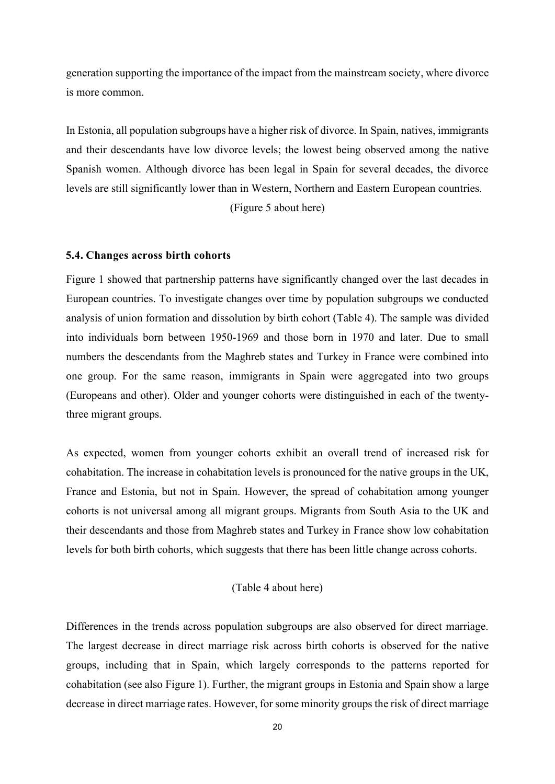generation supporting the importance of the impact from the mainstream society, where divorce is more common.

In Estonia, all population subgroups have a higher risk of divorce. In Spain, natives, immigrants and their descendants have low divorce levels; the lowest being observed among the native Spanish women. Although divorce has been legal in Spain for several decades, the divorce levels are still significantly lower than in Western, Northern and Eastern European countries.

(Figure 5 about here)

## **5.4. Changes across birth cohorts**

Figure 1 showed that partnership patterns have significantly changed over the last decades in European countries. To investigate changes over time by population subgroups we conducted analysis of union formation and dissolution by birth cohort (Table 4). The sample was divided into individuals born between 1950-1969 and those born in 1970 and later. Due to small numbers the descendants from the Maghreb states and Turkey in France were combined into one group. For the same reason, immigrants in Spain were aggregated into two groups (Europeans and other). Older and younger cohorts were distinguished in each of the twentythree migrant groups.

As expected, women from younger cohorts exhibit an overall trend of increased risk for cohabitation. The increase in cohabitation levels is pronounced for the native groups in the UK, France and Estonia, but not in Spain. However, the spread of cohabitation among younger cohorts is not universal among all migrant groups. Migrants from South Asia to the UK and their descendants and those from Maghreb states and Turkey in France show low cohabitation levels for both birth cohorts, which suggests that there has been little change across cohorts.

## (Table 4 about here)

Differences in the trends across population subgroups are also observed for direct marriage. The largest decrease in direct marriage risk across birth cohorts is observed for the native groups, including that in Spain, which largely corresponds to the patterns reported for cohabitation (see also Figure 1). Further, the migrant groups in Estonia and Spain show a large decrease in direct marriage rates. However, for some minority groups the risk of direct marriage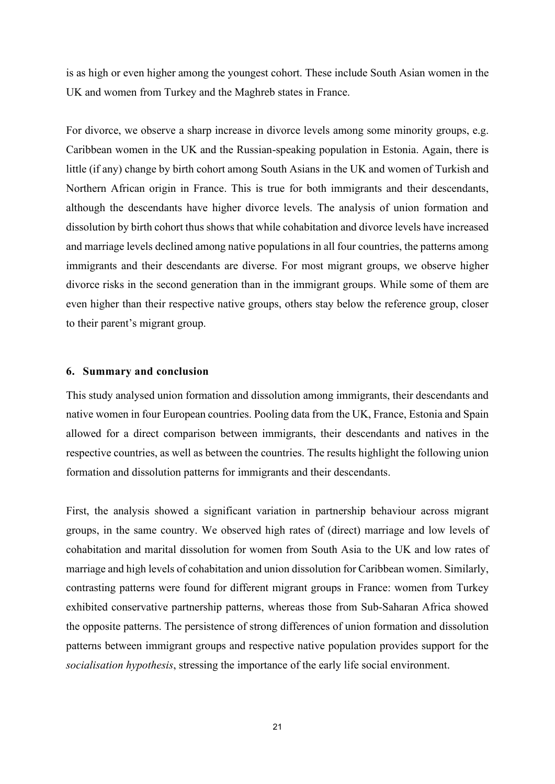is as high or even higher among the youngest cohort. These include South Asian women in the UK and women from Turkey and the Maghreb states in France.

For divorce, we observe a sharp increase in divorce levels among some minority groups, e.g. Caribbean women in the UK and the Russian-speaking population in Estonia. Again, there is little (if any) change by birth cohort among South Asians in the UK and women of Turkish and Northern African origin in France. This is true for both immigrants and their descendants, although the descendants have higher divorce levels. The analysis of union formation and dissolution by birth cohort thus shows that while cohabitation and divorce levels have increased and marriage levels declined among native populations in all four countries, the patterns among immigrants and their descendants are diverse. For most migrant groups, we observe higher divorce risks in the second generation than in the immigrant groups. While some of them are even higher than their respective native groups, others stay below the reference group, closer to their parent's migrant group.

## **6. Summary and conclusion**

This study analysed union formation and dissolution among immigrants, their descendants and native women in four European countries. Pooling data from the UK, France, Estonia and Spain allowed for a direct comparison between immigrants, their descendants and natives in the respective countries, as well as between the countries. The results highlight the following union formation and dissolution patterns for immigrants and their descendants.

First, the analysis showed a significant variation in partnership behaviour across migrant groups, in the same country. We observed high rates of (direct) marriage and low levels of cohabitation and marital dissolution for women from South Asia to the UK and low rates of marriage and high levels of cohabitation and union dissolution for Caribbean women. Similarly, contrasting patterns were found for different migrant groups in France: women from Turkey exhibited conservative partnership patterns, whereas those from Sub-Saharan Africa showed the opposite patterns. The persistence of strong differences of union formation and dissolution patterns between immigrant groups and respective native population provides support for the *socialisation hypothesis*, stressing the importance of the early life social environment.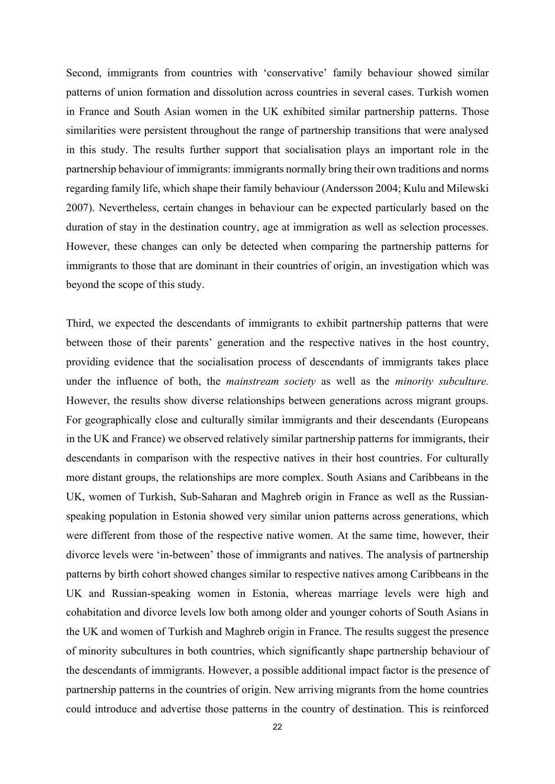Second, immigrants from countries with 'conservative' family behaviour showed similar patterns of union formation and dissolution across countries in several cases. Turkish women in France and South Asian women in the UK exhibited similar partnership patterns. Those similarities were persistent throughout the range of partnership transitions that were analysed in this study. The results further support that socialisation plays an important role in the partnership behaviour of immigrants: immigrants normally bring their own traditions and norms regarding family life, which shape their family behaviour (Andersson 2004; Kulu and Milewski 2007). Nevertheless, certain changes in behaviour can be expected particularly based on the duration of stay in the destination country, age at immigration as well as selection processes. However, these changes can only be detected when comparing the partnership patterns for immigrants to those that are dominant in their countries of origin, an investigation which was beyond the scope of this study.

Third, we expected the descendants of immigrants to exhibit partnership patterns that were between those of their parents' generation and the respective natives in the host country, providing evidence that the socialisation process of descendants of immigrants takes place under the influence of both, the *mainstream society* as well as the *minority subculture.* However, the results show diverse relationships between generations across migrant groups. For geographically close and culturally similar immigrants and their descendants (Europeans in the UK and France) we observed relatively similar partnership patterns for immigrants, their descendants in comparison with the respective natives in their host countries. For culturally more distant groups, the relationships are more complex. South Asians and Caribbeans in the UK, women of Turkish, Sub-Saharan and Maghreb origin in France as well as the Russianspeaking population in Estonia showed very similar union patterns across generations, which were different from those of the respective native women. At the same time, however, their divorce levels were 'in-between' those of immigrants and natives. The analysis of partnership patterns by birth cohort showed changes similar to respective natives among Caribbeans in the UK and Russian-speaking women in Estonia, whereas marriage levels were high and cohabitation and divorce levels low both among older and younger cohorts of South Asians in the UK and women of Turkish and Maghreb origin in France. The results suggest the presence of minority subcultures in both countries, which significantly shape partnership behaviour of the descendants of immigrants. However, a possible additional impact factor is the presence of partnership patterns in the countries of origin. New arriving migrants from the home countries could introduce and advertise those patterns in the country of destination. This is reinforced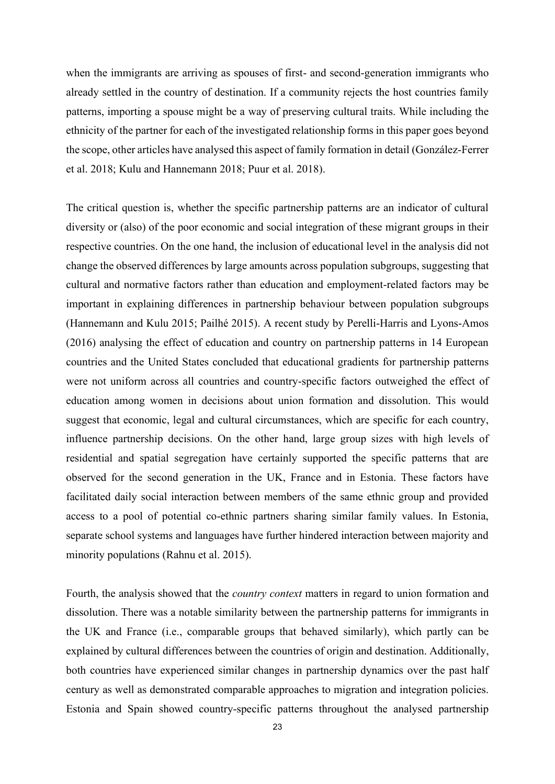when the immigrants are arriving as spouses of first- and second-generation immigrants who already settled in the country of destination. If a community rejects the host countries family patterns, importing a spouse might be a way of preserving cultural traits. While including the ethnicity of the partner for each of the investigated relationship forms in this paper goes beyond the scope, other articles have analysed this aspect of family formation in detail (González-Ferrer et al. 2018; Kulu and Hannemann 2018; Puur et al. 2018).

The critical question is, whether the specific partnership patterns are an indicator of cultural diversity or (also) of the poor economic and social integration of these migrant groups in their respective countries. On the one hand, the inclusion of educational level in the analysis did not change the observed differences by large amounts across population subgroups, suggesting that cultural and normative factors rather than education and employment-related factors may be important in explaining differences in partnership behaviour between population subgroups (Hannemann and Kulu 2015; Pailhé 2015). A recent study by Perelli-Harris and Lyons-Amos (2016) analysing the effect of education and country on partnership patterns in 14 European countries and the United States concluded that educational gradients for partnership patterns were not uniform across all countries and country-specific factors outweighed the effect of education among women in decisions about union formation and dissolution. This would suggest that economic, legal and cultural circumstances, which are specific for each country, influence partnership decisions. On the other hand, large group sizes with high levels of residential and spatial segregation have certainly supported the specific patterns that are observed for the second generation in the UK, France and in Estonia. These factors have facilitated daily social interaction between members of the same ethnic group and provided access to a pool of potential co-ethnic partners sharing similar family values. In Estonia, separate school systems and languages have further hindered interaction between majority and minority populations (Rahnu et al. 2015).

Fourth, the analysis showed that the *country context* matters in regard to union formation and dissolution. There was a notable similarity between the partnership patterns for immigrants in the UK and France (i.e., comparable groups that behaved similarly), which partly can be explained by cultural differences between the countries of origin and destination. Additionally, both countries have experienced similar changes in partnership dynamics over the past half century as well as demonstrated comparable approaches to migration and integration policies. Estonia and Spain showed country-specific patterns throughout the analysed partnership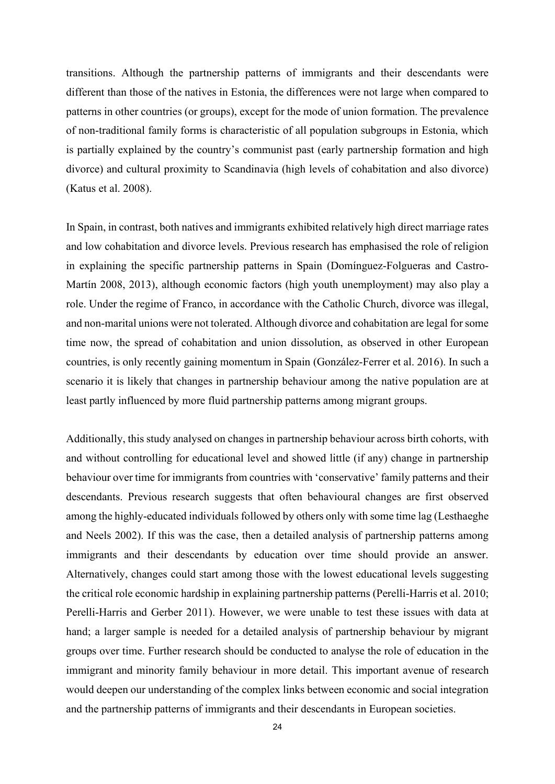transitions. Although the partnership patterns of immigrants and their descendants were different than those of the natives in Estonia, the differences were not large when compared to patterns in other countries (or groups), except for the mode of union formation. The prevalence of non-traditional family forms is characteristic of all population subgroups in Estonia, which is partially explained by the country's communist past (early partnership formation and high divorce) and cultural proximity to Scandinavia (high levels of cohabitation and also divorce) (Katus et al. 2008).

In Spain, in contrast, both natives and immigrants exhibited relatively high direct marriage rates and low cohabitation and divorce levels. Previous research has emphasised the role of religion in explaining the specific partnership patterns in Spain (Domínguez-Folgueras and Castro-Martín 2008, 2013), although economic factors (high youth unemployment) may also play a role. Under the regime of Franco, in accordance with the Catholic Church, divorce was illegal, and non-marital unions were not tolerated. Although divorce and cohabitation are legal for some time now, the spread of cohabitation and union dissolution, as observed in other European countries, is only recently gaining momentum in Spain (González-Ferrer et al. 2016). In such a scenario it is likely that changes in partnership behaviour among the native population are at least partly influenced by more fluid partnership patterns among migrant groups.

Additionally, this study analysed on changes in partnership behaviour across birth cohorts, with and without controlling for educational level and showed little (if any) change in partnership behaviour over time for immigrants from countries with 'conservative' family patterns and their descendants. Previous research suggests that often behavioural changes are first observed among the highly-educated individuals followed by others only with some time lag (Lesthaeghe and Neels 2002). If this was the case, then a detailed analysis of partnership patterns among immigrants and their descendants by education over time should provide an answer. Alternatively, changes could start among those with the lowest educational levels suggesting the critical role economic hardship in explaining partnership patterns (Perelli-Harris et al. 2010; Perelli-Harris and Gerber 2011). However, we were unable to test these issues with data at hand; a larger sample is needed for a detailed analysis of partnership behaviour by migrant groups over time. Further research should be conducted to analyse the role of education in the immigrant and minority family behaviour in more detail. This important avenue of research would deepen our understanding of the complex links between economic and social integration and the partnership patterns of immigrants and their descendants in European societies.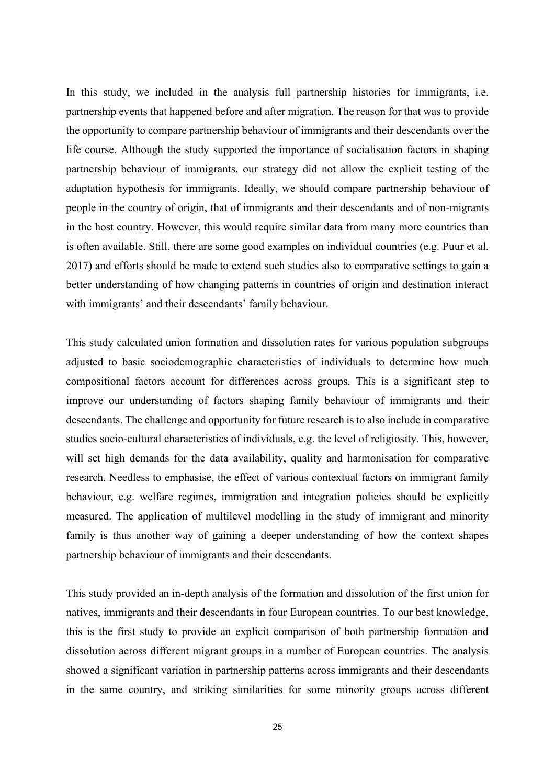In this study, we included in the analysis full partnership histories for immigrants, i.e. partnership events that happened before and after migration. The reason for that was to provide the opportunity to compare partnership behaviour of immigrants and their descendants over the life course. Although the study supported the importance of socialisation factors in shaping partnership behaviour of immigrants, our strategy did not allow the explicit testing of the adaptation hypothesis for immigrants. Ideally, we should compare partnership behaviour of people in the country of origin, that of immigrants and their descendants and of non-migrants in the host country. However, this would require similar data from many more countries than is often available. Still, there are some good examples on individual countries (e.g. Puur et al. 2017) and efforts should be made to extend such studies also to comparative settings to gain a better understanding of how changing patterns in countries of origin and destination interact with immigrants' and their descendants' family behaviour.

This study calculated union formation and dissolution rates for various population subgroups adjusted to basic sociodemographic characteristics of individuals to determine how much compositional factors account for differences across groups. This is a significant step to improve our understanding of factors shaping family behaviour of immigrants and their descendants. The challenge and opportunity for future research is to also include in comparative studies socio-cultural characteristics of individuals, e.g. the level of religiosity. This, however, will set high demands for the data availability, quality and harmonisation for comparative research. Needless to emphasise, the effect of various contextual factors on immigrant family behaviour, e.g. welfare regimes, immigration and integration policies should be explicitly measured. The application of multilevel modelling in the study of immigrant and minority family is thus another way of gaining a deeper understanding of how the context shapes partnership behaviour of immigrants and their descendants.

This study provided an in-depth analysis of the formation and dissolution of the first union for natives, immigrants and their descendants in four European countries. To our best knowledge, this is the first study to provide an explicit comparison of both partnership formation and dissolution across different migrant groups in a number of European countries. The analysis showed a significant variation in partnership patterns across immigrants and their descendants in the same country, and striking similarities for some minority groups across different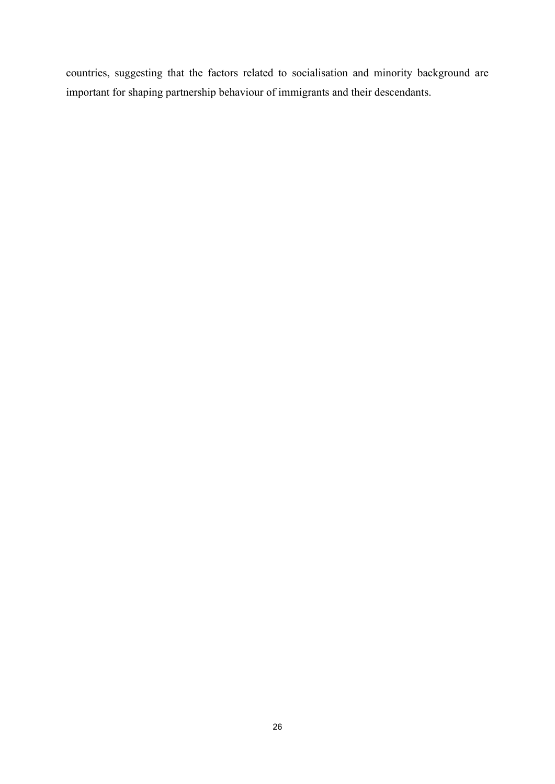countries, suggesting that the factors related to socialisation and minority background are important for shaping partnership behaviour of immigrants and their descendants.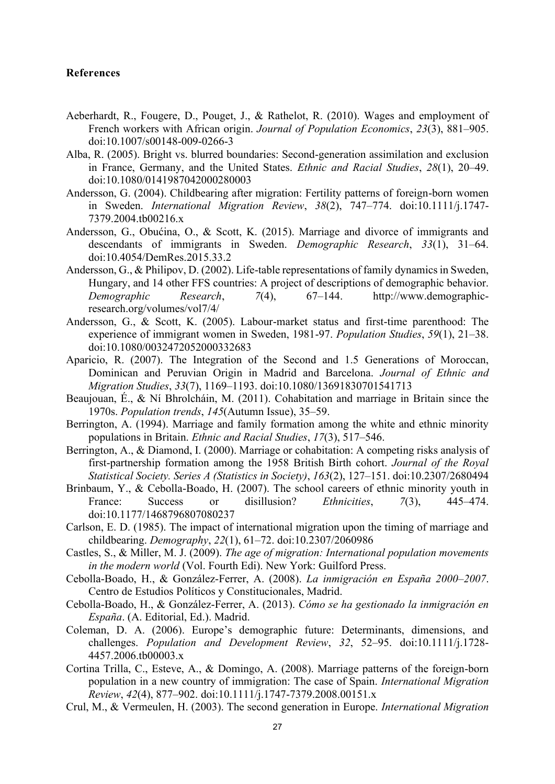## **References**

- Aeberhardt, R., Fougere, D., Pouget, J., & Rathelot, R. (2010). Wages and employment of French workers with African origin. *Journal of Population Economics*, *23*(3), 881–905. doi:10.1007/s00148-009-0266-3
- Alba, R. (2005). Bright vs. blurred boundaries: Second-generation assimilation and exclusion in France, Germany, and the United States. *Ethnic and Racial Studies*, *28*(1), 20–49. doi:10.1080/0141987042000280003
- Andersson, G. (2004). Childbearing after migration: Fertility patterns of foreign-born women in Sweden. *International Migration Review*, *38*(2), 747–774. doi:10.1111/j.1747- 7379.2004.tb00216.x
- Andersson, G., Obućina, O., & Scott, K. (2015). Marriage and divorce of immigrants and descendants of immigrants in Sweden. *Demographic Research*, *33*(1), 31–64. doi:10.4054/DemRes.2015.33.2
- Andersson, G., & Philipov, D. (2002). Life-table representations of family dynamics in Sweden, Hungary, and 14 other FFS countries: A project of descriptions of demographic behavior. *Demographic Research*, *7*(4), 67–144. http://www.demographicresearch.org/volumes/vol7/4/
- Andersson, G., & Scott, K. (2005). Labour-market status and first-time parenthood: The experience of immigrant women in Sweden, 1981-97. *Population Studies*, *59*(1), 21–38. doi:10.1080/0032472052000332683
- Aparicio, R. (2007). The Integration of the Second and 1.5 Generations of Moroccan, Dominican and Peruvian Origin in Madrid and Barcelona. *Journal of Ethnic and Migration Studies*, *33*(7), 1169–1193. doi:10.1080/13691830701541713
- Beaujouan, É., & Ní Bhrolcháin, M. (2011). Cohabitation and marriage in Britain since the 1970s. *Population trends*, *145*(Autumn Issue), 35–59.
- Berrington, A. (1994). Marriage and family formation among the white and ethnic minority populations in Britain. *Ethnic and Racial Studies*, *17*(3), 517–546.
- Berrington, A., & Diamond, I. (2000). Marriage or cohabitation: A competing risks analysis of first-partnership formation among the 1958 British Birth cohort. *Journal of the Royal Statistical Society. Series A (Statistics in Society)*, *163*(2), 127–151. doi:10.2307/2680494
- Brinbaum, Y., & Cebolla-Boado, H. (2007). The school careers of ethnic minority youth in France: Success or disillusion? *Ethnicities*, *7*(3), 445–474. doi:10.1177/1468796807080237
- Carlson, E. D. (1985). The impact of international migration upon the timing of marriage and childbearing. *Demography*, *22*(1), 61–72. doi:10.2307/2060986
- Castles, S., & Miller, M. J. (2009). *The age of migration: International population movements in the modern world* (Vol. Fourth Edi). New York: Guilford Press.
- Cebolla-Boado, H., & González-Ferrer, A. (2008). *La inmigración en España 2000–2007*. Centro de Estudios Políticos y Constitucionales, Madrid.
- Cebolla-Boado, H., & González-Ferrer, A. (2013). *Cómo se ha gestionado la inmigración en España*. (A. Editorial, Ed.). Madrid.
- Coleman, D. A. (2006). Europe's demographic future: Determinants, dimensions, and challenges. *Population and Development Review*, *32*, 52–95. doi:10.1111/j.1728- 4457.2006.tb00003.x
- Cortina Trilla, C., Esteve, A., & Domingo, A. (2008). Marriage patterns of the foreign-born population in a new country of immigration: The case of Spain. *International Migration Review*, *42*(4), 877–902. doi:10.1111/j.1747-7379.2008.00151.x
- Crul, M., & Vermeulen, H. (2003). The second generation in Europe. *International Migration*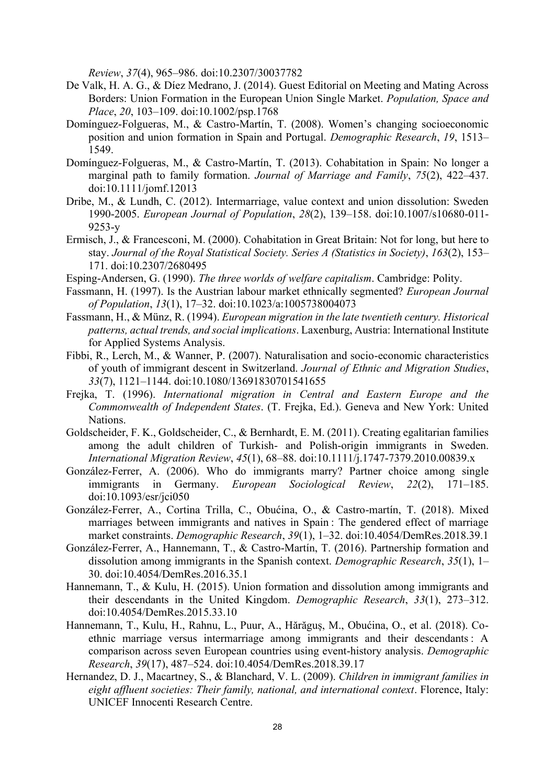*Review*, *37*(4), 965–986. doi:10.2307/30037782

- De Valk, H. A. G., & Díez Medrano, J. (2014). Guest Editorial on Meeting and Mating Across Borders: Union Formation in the European Union Single Market. *Population, Space and Place*, *20*, 103–109. doi:10.1002/psp.1768
- Domínguez-Folgueras, M., & Castro-Martín, T. (2008). Women's changing socioeconomic position and union formation in Spain and Portugal. *Demographic Research*, *19*, 1513– 1549.
- Domínguez-Folgueras, M., & Castro-Martín, T. (2013). Cohabitation in Spain: No longer a marginal path to family formation. *Journal of Marriage and Family*, *75*(2), 422–437. doi:10.1111/jomf.12013
- Dribe, M., & Lundh, C. (2012). Intermarriage, value context and union dissolution: Sweden 1990-2005. *European Journal of Population*, *28*(2), 139–158. doi:10.1007/s10680-011- 9253-y
- Ermisch, J., & Francesconi, M. (2000). Cohabitation in Great Britain: Not for long, but here to stay. *Journal of the Royal Statistical Society. Series A (Statistics in Society)*, *163*(2), 153– 171. doi:10.2307/2680495
- Esping-Andersen, G. (1990). *The three worlds of welfare capitalism*. Cambridge: Polity.
- Fassmann, H. (1997). Is the Austrian labour market ethnically segmented? *European Journal of Population*, *13*(1), 17–32. doi:10.1023/a:1005738004073
- Fassmann, H., & Münz, R. (1994). *European migration in the late twentieth century. Historical patterns, actual trends, and social implications*. Laxenburg, Austria: International Institute for Applied Systems Analysis.
- Fibbi, R., Lerch, M., & Wanner, P. (2007). Naturalisation and socio-economic characteristics of youth of immigrant descent in Switzerland. *Journal of Ethnic and Migration Studies*, *33*(7), 1121–1144. doi:10.1080/13691830701541655
- Frejka, T. (1996). *International migration in Central and Eastern Europe and the Commonwealth of Independent States*. (T. Frejka, Ed.). Geneva and New York: United Nations.
- Goldscheider, F. K., Goldscheider, C., & Bernhardt, E. M. (2011). Creating egalitarian families among the adult children of Turkish- and Polish-origin immigrants in Sweden. *International Migration Review*, *45*(1), 68–88. doi:10.1111/j.1747-7379.2010.00839.x
- González-Ferrer, A. (2006). Who do immigrants marry? Partner choice among single immigrants in Germany. *European Sociological Review*, *22*(2), 171–185. doi:10.1093/esr/jci050
- González-Ferrer, A., Cortina Trilla, C., Obućina, O., & Castro-martín, T. (2018). Mixed marriages between immigrants and natives in Spain : The gendered effect of marriage market constraints. *Demographic Research*, *39*(1), 1–32. doi:10.4054/DemRes.2018.39.1
- González-Ferrer, A., Hannemann, T., & Castro-Martín, T. (2016). Partnership formation and dissolution among immigrants in the Spanish context. *Demographic Research*, *35*(1), 1– 30. doi:10.4054/DemRes.2016.35.1
- Hannemann, T., & Kulu, H. (2015). Union formation and dissolution among immigrants and their descendants in the United Kingdom. *Demographic Research*, *33*(1), 273–312. doi:10.4054/DemRes.2015.33.10
- Hannemann, T., Kulu, H., Rahnu, L., Puur, A., Hărăguș, M., Obućina, O., et al. (2018). Coethnic marriage versus intermarriage among immigrants and their descendants : A comparison across seven European countries using event-history analysis. *Demographic Research*, *39*(17), 487–524. doi:10.4054/DemRes.2018.39.17
- Hernandez, D. J., Macartney, S., & Blanchard, V. L. (2009). *Children in immigrant families in eight affluent societies: Their family, national, and international context*. Florence, Italy: UNICEF Innocenti Research Centre.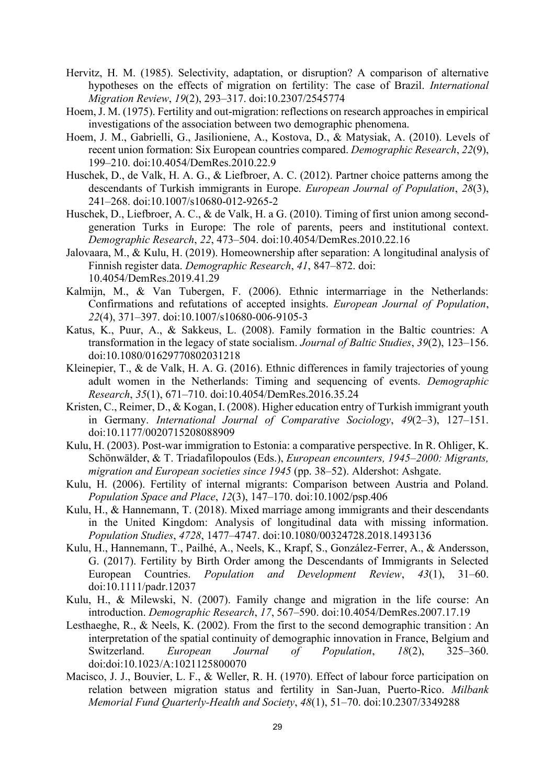- Hervitz, H. M. (1985). Selectivity, adaptation, or disruption? A comparison of alternative hypotheses on the effects of migration on fertility: The case of Brazil. *International Migration Review*, *19*(2), 293–317. doi:10.2307/2545774
- Hoem, J. M. (1975). Fertility and out-migration: reflections on research approaches in empirical investigations of the association between two demographic phenomena.
- Hoem, J. M., Gabrielli, G., Jasilioniene, A., Kostova, D., & Matysiak, A. (2010). Levels of recent union formation: Six European countries compared. *Demographic Research*, *22*(9), 199–210. doi:10.4054/DemRes.2010.22.9
- Huschek, D., de Valk, H. A. G., & Liefbroer, A. C. (2012). Partner choice patterns among the descendants of Turkish immigrants in Europe. *European Journal of Population*, *28*(3), 241–268. doi:10.1007/s10680-012-9265-2
- Huschek, D., Liefbroer, A. C., & de Valk, H. a G. (2010). Timing of first union among secondgeneration Turks in Europe: The role of parents, peers and institutional context. *Demographic Research*, *22*, 473–504. doi:10.4054/DemRes.2010.22.16
- Jalovaara, M., & Kulu, H. (2019). Homeownership after separation: A longitudinal analysis of Finnish register data. *Demographic Research*, *41*, 847–872. doi: 10.4054/DemRes.2019.41.29
- Kalmijn, M., & Van Tubergen, F. (2006). Ethnic intermarriage in the Netherlands: Confirmations and refutations of accepted insights. *European Journal of Population*, *22*(4), 371–397. doi:10.1007/s10680-006-9105-3
- Katus, K., Puur, A., & Sakkeus, L. (2008). Family formation in the Baltic countries: A transformation in the legacy of state socialism. *Journal of Baltic Studies*, *39*(2), 123–156. doi:10.1080/01629770802031218
- Kleinepier, T., & de Valk, H. A. G. (2016). Ethnic differences in family trajectories of young adult women in the Netherlands: Timing and sequencing of events. *Demographic Research*, *35*(1), 671–710. doi:10.4054/DemRes.2016.35.24
- Kristen, C., Reimer, D., & Kogan, I. (2008). Higher education entry of Turkish immigrant youth in Germany. *International Journal of Comparative Sociology*, *49*(2–3), 127–151. doi:10.1177/0020715208088909
- Kulu, H. (2003). Post-war immigration to Estonia: a comparative perspective. In R. Ohliger, K. Schönwälder, & T. Triadafilopoulos (Eds.), *European encounters, 1945–2000: Migrants, migration and European societies since 1945* (pp. 38–52). Aldershot: Ashgate.
- Kulu, H. (2006). Fertility of internal migrants: Comparison between Austria and Poland. *Population Space and Place*, *12*(3), 147–170. doi:10.1002/psp.406
- Kulu, H., & Hannemann, T. (2018). Mixed marriage among immigrants and their descendants in the United Kingdom: Analysis of longitudinal data with missing information. *Population Studies*, *4728*, 1477–4747. doi:10.1080/00324728.2018.1493136
- Kulu, H., Hannemann, T., Pailhé, A., Neels, K., Krapf, S., González-Ferrer, A., & Andersson, G. (2017). Fertility by Birth Order among the Descendants of Immigrants in Selected European Countries. *Population and Development Review*, *43*(1), 31–60. doi:10.1111/padr.12037
- Kulu, H., & Milewski, N. (2007). Family change and migration in the life course: An introduction. *Demographic Research*, *17*, 567–590. doi:10.4054/DemRes.2007.17.19
- Lesthaeghe, R., & Neels, K. (2002). From the first to the second demographic transition : An interpretation of the spatial continuity of demographic innovation in France, Belgium and Switzerland. *European Journal of Population*, *18*(2), 325–360. doi:doi:10.1023/A:1021125800070
- Macisco, J. J., Bouvier, L. F., & Weller, R. H. (1970). Effect of labour force participation on relation between migration status and fertility in San-Juan, Puerto-Rico. *Milbank Memorial Fund Quarterly-Health and Society*, *48*(1), 51–70. doi:10.2307/3349288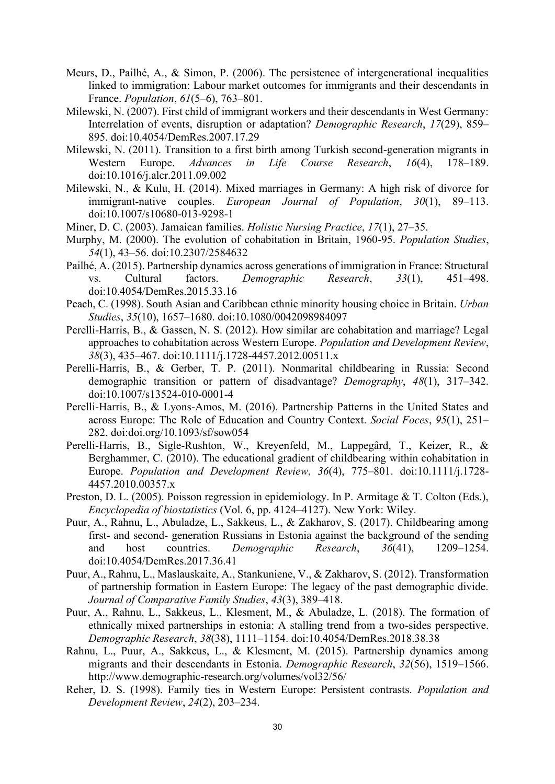- Meurs, D., Pailhé, A., & Simon, P. (2006). The persistence of intergenerational inequalities linked to immigration: Labour market outcomes for immigrants and their descendants in France. *Population*, *61*(5–6), 763–801.
- Milewski, N. (2007). First child of immigrant workers and their descendants in West Germany: Interrelation of events, disruption or adaptation? *Demographic Research*, *17*(29), 859– 895. doi:10.4054/DemRes.2007.17.29
- Milewski, N. (2011). Transition to a first birth among Turkish second-generation migrants in Western Europe. *Advances in Life Course Research*, *16*(4), 178–189. doi:10.1016/j.alcr.2011.09.002
- Milewski, N., & Kulu, H. (2014). Mixed marriages in Germany: A high risk of divorce for immigrant-native couples. *European Journal of Population*, *30*(1), 89–113. doi:10.1007/s10680-013-9298-1
- Miner, D. C. (2003). Jamaican families. *Holistic Nursing Practice*, *17*(1), 27–35.
- Murphy, M. (2000). The evolution of cohabitation in Britain, 1960-95. *Population Studies*, *54*(1), 43–56. doi:10.2307/2584632
- Pailhé, A. (2015). Partnership dynamics across generations of immigration in France: Structural vs. Cultural factors. *Demographic Research*, *33*(1), 451–498. doi:10.4054/DemRes.2015.33.16
- Peach, C. (1998). South Asian and Caribbean ethnic minority housing choice in Britain. *Urban Studies*, *35*(10), 1657–1680. doi:10.1080/0042098984097
- Perelli-Harris, B., & Gassen, N. S. (2012). How similar are cohabitation and marriage? Legal approaches to cohabitation across Western Europe. *Population and Development Review*, *38*(3), 435–467. doi:10.1111/j.1728-4457.2012.00511.x
- Perelli-Harris, B., & Gerber, T. P. (2011). Nonmarital childbearing in Russia: Second demographic transition or pattern of disadvantage? *Demography*, *48*(1), 317–342. doi:10.1007/s13524-010-0001-4
- Perelli-Harris, B., & Lyons-Amos, M. (2016). Partnership Patterns in the United States and across Europe: The Role of Education and Country Context. *Social Foces*, *95*(1), 251– 282. doi:doi.org/10.1093/sf/sow054
- Perelli-Harris, B., Sigle-Rushton, W., Kreyenfeld, M., Lappegård, T., Keizer, R., & Berghammer, C. (2010). The educational gradient of childbearing within cohabitation in Europe. *Population and Development Review*, *36*(4), 775–801. doi:10.1111/j.1728- 4457.2010.00357.x
- Preston, D. L. (2005). Poisson regression in epidemiology. In P. Armitage & T. Colton (Eds.), *Encyclopedia of biostatistics* (Vol. 6, pp. 4124–4127). New York: Wiley.
- Puur, A., Rahnu, L., Abuladze, L., Sakkeus, L., & Zakharov, S. (2017). Childbearing among first- and second- generation Russians in Estonia against the background of the sending and host countries. *Demographic Research*, *36*(41), 1209–1254. doi:10.4054/DemRes.2017.36.41
- Puur, A., Rahnu, L., Maslauskaite, A., Stankuniene, V., & Zakharov, S. (2012). Transformation of partnership formation in Eastern Europe: The legacy of the past demographic divide. *Journal of Comparative Family Studies*, *43*(3), 389–418.
- Puur, A., Rahnu, L., Sakkeus, L., Klesment, M., & Abuladze, L. (2018). The formation of ethnically mixed partnerships in estonia: A stalling trend from a two-sides perspective. *Demographic Research*, *38*(38), 1111–1154. doi:10.4054/DemRes.2018.38.38
- Rahnu, L., Puur, A., Sakkeus, L., & Klesment, M. (2015). Partnership dynamics among migrants and their descendants in Estonia. *Demographic Research*, *32*(56), 1519–1566. http://www.demographic-research.org/volumes/vol32/56/
- Reher, D. S. (1998). Family ties in Western Europe: Persistent contrasts. *Population and Development Review*, *24*(2), 203–234.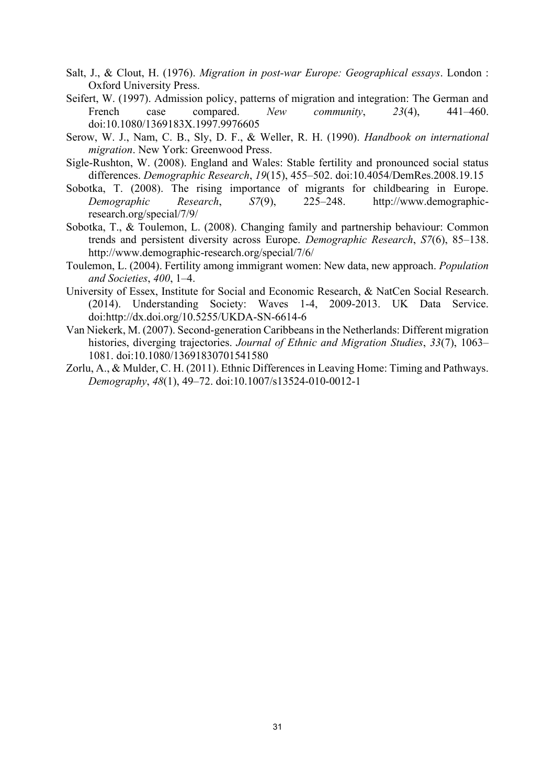- Salt, J., & Clout, H. (1976). *Migration in post-war Europe: Geographical essays*. London : Oxford University Press.
- Seifert, W. (1997). Admission policy, patterns of migration and integration: The German and French case compared. *New community*, 23(4), 441–460. doi:10.1080/1369183X.1997.9976605
- Serow, W. J., Nam, C. B., Sly, D. F., & Weller, R. H. (1990). *Handbook on international migration*. New York: Greenwood Press.
- Sigle-Rushton, W. (2008). England and Wales: Stable fertility and pronounced social status differences. *Demographic Research*, *19*(15), 455–502. doi:10.4054/DemRes.2008.19.15
- Sobotka, T. (2008). The rising importance of migrants for childbearing in Europe. *Demographic Research*, *S7*(9), 225–248. http://www.demographicresearch.org/special/7/9/
- Sobotka, T., & Toulemon, L. (2008). Changing family and partnership behaviour: Common trends and persistent diversity across Europe. *Demographic Research*, *S7*(6), 85–138. http://www.demographic-research.org/special/7/6/
- Toulemon, L. (2004). Fertility among immigrant women: New data, new approach. *Population and Societies*, *400*, 1–4.
- University of Essex, Institute for Social and Economic Research, & NatCen Social Research. (2014). Understanding Society: Waves 1-4, 2009-2013. UK Data Service. doi:http://dx.doi.org/10.5255/UKDA-SN-6614-6
- Van Niekerk, M. (2007). Second-generation Caribbeans in the Netherlands: Different migration histories, diverging trajectories. *Journal of Ethnic and Migration Studies*, *33*(7), 1063– 1081. doi:10.1080/13691830701541580
- Zorlu, A., & Mulder, C. H. (2011). Ethnic Differences in Leaving Home: Timing and Pathways. *Demography*, *48*(1), 49–72. doi:10.1007/s13524-010-0012-1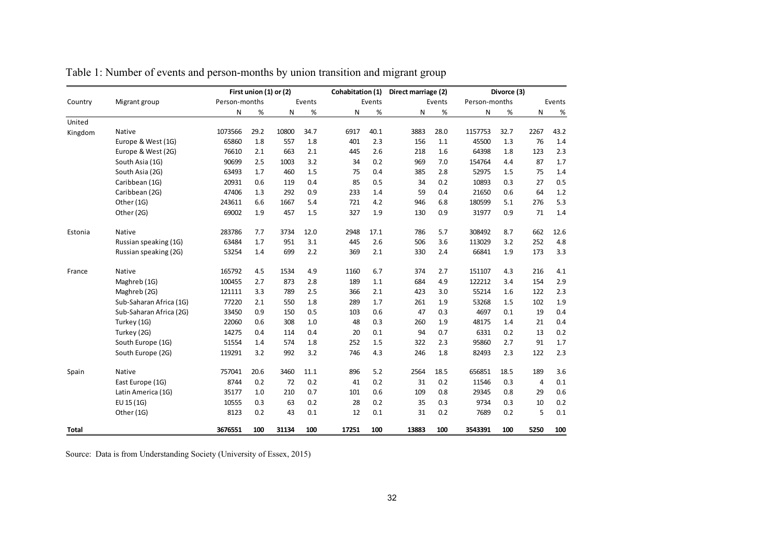|         |                         | First union (1) or (2) |      |        |      |       | Cohabitation (1) |       | Direct marriage (2) |         | Divorce (3)   |                |        |
|---------|-------------------------|------------------------|------|--------|------|-------|------------------|-------|---------------------|---------|---------------|----------------|--------|
| Country | Migrant group           | Person-months          |      | Events |      |       | Events           |       | Events              |         | Person-months |                | Events |
|         |                         | N                      | %    | N      | $\%$ | N     | %                | N     | %                   | N       | %             | N              | $\%$   |
| United  |                         |                        |      |        |      |       |                  |       |                     |         |               |                |        |
| Kingdom | Native                  | 1073566                | 29.2 | 10800  | 34.7 | 6917  | 40.1             | 3883  | 28.0                | 1157753 | 32.7          | 2267           | 43.2   |
|         | Europe & West (1G)      | 65860                  | 1.8  | 557    | 1.8  | 401   | 2.3              | 156   | 1.1                 | 45500   | 1.3           | 76             | 1.4    |
|         | Europe & West (2G)      | 76610                  | 2.1  | 663    | 2.1  | 445   | 2.6              | 218   | 1.6                 | 64398   | 1.8           | 123            | 2.3    |
|         | South Asia (1G)         | 90699                  | 2.5  | 1003   | 3.2  | 34    | 0.2              | 969   | 7.0                 | 154764  | 4.4           | 87             | 1.7    |
|         | South Asia (2G)         | 63493                  | 1.7  | 460    | 1.5  | 75    | 0.4              | 385   | 2.8                 | 52975   | 1.5           | 75             | 1.4    |
|         | Caribbean (1G)          | 20931                  | 0.6  | 119    | 0.4  | 85    | 0.5              | 34    | 0.2                 | 10893   | 0.3           | 27             | 0.5    |
|         | Caribbean (2G)          | 47406                  | 1.3  | 292    | 0.9  | 233   | 1.4              | 59    | 0.4                 | 21650   | 0.6           | 64             | 1.2    |
|         | Other (1G)              | 243611                 | 6.6  | 1667   | 5.4  | 721   | 4.2              | 946   | 6.8                 | 180599  | 5.1           | 276            | 5.3    |
|         | Other (2G)              | 69002                  | 1.9  | 457    | 1.5  | 327   | 1.9              | 130   | 0.9                 | 31977   | 0.9           | 71             | 1.4    |
| Estonia | Native                  | 283786                 | 7.7  | 3734   | 12.0 | 2948  | 17.1             | 786   | 5.7                 | 308492  | 8.7           | 662            | 12.6   |
|         | Russian speaking (1G)   | 63484                  | 1.7  | 951    | 3.1  | 445   | 2.6              | 506   | 3.6                 | 113029  | 3.2           | 252            | 4.8    |
|         | Russian speaking (2G)   | 53254                  | 1.4  | 699    | 2.2  | 369   | 2.1              | 330   | 2.4                 | 66841   | 1.9           | 173            | 3.3    |
| France  | Native                  | 165792                 | 4.5  | 1534   | 4.9  | 1160  | 6.7              | 374   | 2.7                 | 151107  | 4.3           | 216            | 4.1    |
|         | Maghreb (1G)            | 100455                 | 2.7  | 873    | 2.8  | 189   | 1.1              | 684   | 4.9                 | 122212  | 3.4           | 154            | 2.9    |
|         | Maghreb (2G)            | 121111                 | 3.3  | 789    | 2.5  | 366   | 2.1              | 423   | 3.0                 | 55214   | 1.6           | 122            | 2.3    |
|         | Sub-Saharan Africa (1G) | 77220                  | 2.1  | 550    | 1.8  | 289   | 1.7              | 261   | 1.9                 | 53268   | 1.5           | 102            | 1.9    |
|         | Sub-Saharan Africa (2G) | 33450                  | 0.9  | 150    | 0.5  | 103   | 0.6              | 47    | 0.3                 | 4697    | 0.1           | 19             | 0.4    |
|         | Turkey (1G)             | 22060                  | 0.6  | 308    | 1.0  | 48    | 0.3              | 260   | 1.9                 | 48175   | 1.4           | 21             | 0.4    |
|         | Turkey (2G)             | 14275                  | 0.4  | 114    | 0.4  | 20    | 0.1              | 94    | 0.7                 | 6331    | 0.2           | 13             | 0.2    |
|         | South Europe (1G)       | 51554                  | 1.4  | 574    | 1.8  | 252   | 1.5              | 322   | 2.3                 | 95860   | 2.7           | 91             | 1.7    |
|         | South Europe (2G)       | 119291                 | 3.2  | 992    | 3.2  | 746   | 4.3              | 246   | 1.8                 | 82493   | 2.3           | 122            | 2.3    |
| Spain   | <b>Native</b>           | 757041                 | 20.6 | 3460   | 11.1 | 896   | 5.2              | 2564  | 18.5                | 656851  | 18.5          | 189            | 3.6    |
|         | East Europe (1G)        | 8744                   | 0.2  | 72     | 0.2  | 41    | 0.2              | 31    | 0.2                 | 11546   | 0.3           | $\overline{a}$ | 0.1    |
|         | Latin America (1G)      | 35177                  | 1.0  | 210    | 0.7  | 101   | 0.6              | 109   | 0.8                 | 29345   | 0.8           | 29             | 0.6    |
|         | EU 15 (1G)              | 10555                  | 0.3  | 63     | 0.2  | 28    | 0.2              | 35    | 0.3                 | 9734    | 0.3           | 10             | 0.2    |
|         | Other (1G)              | 8123                   | 0.2  | 43     | 0.1  | 12    | 0.1              | 31    | 0.2                 | 7689    | 0.2           | 5              | 0.1    |
| Total   |                         | 3676551                | 100  | 31134  | 100  | 17251 | 100              | 13883 | 100                 | 3543391 | 100           | 5250           | 100    |

Table 1: Number of events and person-months by union transition and migrant group

Source: Data is from Understanding Society (University of Essex, 2015)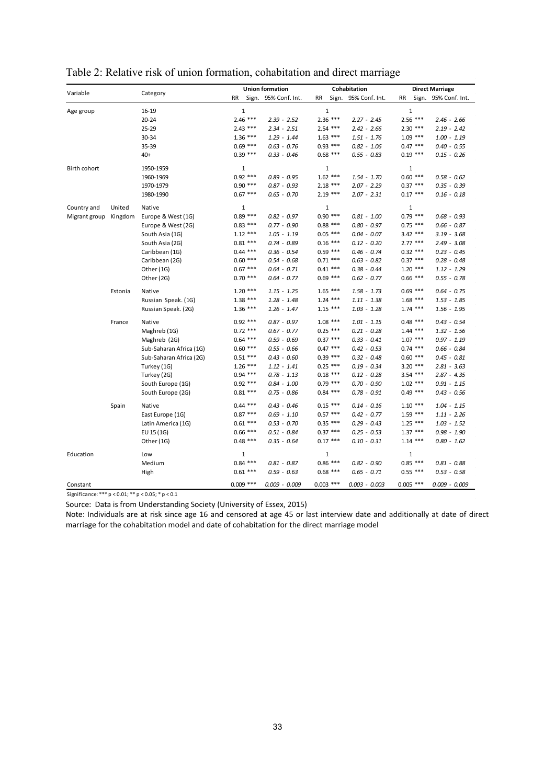|               |         |                         |              | <b>Union formation</b> |                    | Cohabitation    | <b>Direct Marriage</b> |                |  |
|---------------|---------|-------------------------|--------------|------------------------|--------------------|-----------------|------------------------|----------------|--|
| Variable      |         | Category                | <b>RR</b>    | Sign. 95% Conf. Int.   | <b>RR</b><br>Sign. | 95% Conf. Int.  | <b>RR</b><br>Sign.     | 95% Conf. Int. |  |
|               |         | $16 - 19$               | $\mathbf 1$  |                        | $\mathbf 1$        |                 | $\mathbf 1$            |                |  |
| Age group     |         | $20 - 24$               | $2.46$ ***   | $2.39 - 2.52$          | $2.36$ ***         | $2.27 - 2.45$   | $2.56***$              | $2.46 - 2.66$  |  |
|               |         | $25 - 29$               | $2.43$ ***   | $2.34 - 2.51$          | $2.54$ ***         | $2.42 - 2.66$   | $2.30***$              | $2.19 - 2.42$  |  |
|               |         | 30-34                   | $1.36***$    | $1.29 - 1.44$          | $1.63***$          | $1.51 - 1.76$   | $1.09$ ***             | $1.00 - 1.19$  |  |
|               |         | 35-39                   | $0.69$ ***   | $0.63 - 0.76$          | $0.93$ ***         | $0.82 - 1.06$   | $0.47***$              | $0.40 - 0.55$  |  |
|               |         | $40+$                   | $0.39***$    | $0.33 - 0.46$          | $0.68$ ***         | $0.55 - 0.83$   | $0.19***$              | $0.15 - 0.26$  |  |
| Birth cohort  |         | 1950-1959               | $\mathbf{1}$ |                        | $\mathbf 1$        |                 | 1                      |                |  |
|               |         | 1960-1969               | $0.92$ ***   | $0.89 - 0.95$          | $1.62$ ***         | $1.54 - 1.70$   | $0.60***$              | $0.58 - 0.62$  |  |
|               |         | 1970-1979               | $0.90***$    | $0.87 - 0.93$          |                    | $2.07 - 2.29$   | $0.37***$              | $0.35 - 0.39$  |  |
|               |         |                         |              |                        | $2.18***$          |                 |                        |                |  |
|               |         | 1980-1990               | $0.67***$    | $0.65 - 0.70$          | $2.19***$          | $2.07 - 2.31$   | $0.17***$              | $0.16 - 0.18$  |  |
| Country and   | United  | Native                  | $\mathbf 1$  |                        | $\mathbf 1$        |                 | $\mathbf{1}$           |                |  |
| Migrant group | Kingdom | Europe & West (1G)      | $0.89***$    | $0.82 - 0.97$          | $0.90***$          | $0.81 - 1.00$   | $0.79$ ***             | $0.68 - 0.93$  |  |
|               |         | Europe & West (2G)      | $0.83***$    | $0.77 - 0.90$          | $0.88***$          | $0.80 - 0.97$   | $0.75$ ***             | $0.66 - 0.87$  |  |
|               |         | South Asia (1G)         | $1.12***$    | $1.05 - 1.19$          | $0.05$ ***         | $0.04 - 0.07$   | $3.42$ ***             | $3.19 - 3.68$  |  |
|               |         | South Asia (2G)         | $0.81***$    | $0.74 - 0.89$          | $0.16***$          | $0.12 - 0.20$   | $2.77***$              | $2.49 - 3.08$  |  |
|               |         | Caribbean (1G)          | $0.44$ ***   | $0.36 - 0.54$          | $0.59$ ***         | $0.46 - 0.74$   | $0.32***$              | $0.23 - 0.45$  |  |
|               |         | Caribbean (2G)          | $0.60***$    | $0.54 - 0.68$          | $0.71$ ***         | $0.63 - 0.82$   | $0.37***$              | $0.28 - 0.48$  |  |
|               |         | Other (1G)              | $0.67***$    | $0.64 - 0.71$          | $0.41***$          | $0.38 - 0.44$   | $1.20***$              | $1.12 - 1.29$  |  |
|               |         | Other (2G)              | $0.70$ ***   | $0.64 - 0.77$          | $0.69$ ***         | $0.62 - 0.77$   | $0.66$ ***             | $0.55 - 0.78$  |  |
|               | Estonia | Native                  | $1.20***$    | $1.15 - 1.25$          | $1.65***$          | $1.58 - 1.73$   | $0.69$ ***             | $0.64 - 0.75$  |  |
|               |         | Russian Speak. (1G)     | $1.38***$    | $1.28 - 1.48$          | $1.24$ ***         | $1.11 - 1.38$   | $1.68***$              | $1.53 - 1.85$  |  |
|               |         | Russian Speak. (2G)     | $1.36***$    | $1.26 - 1.47$          | $1.15***$          | $1.03 - 1.28$   | $1.74$ ***             | $1.56 - 1.95$  |  |
|               | France  | Native                  | $0.92$ ***   | $0.87 - 0.97$          | $1.08$ ***         | $1.01 - 1.15$   | $0.48$ ***             | $0.43 - 0.54$  |  |
|               |         | Maghreb (1G)            | $0.72$ ***   | $0.67 - 0.77$          | $0.25$ ***         | $0.21 - 0.28$   | $1.44$ ***             | $1.32 - 1.56$  |  |
|               |         | Maghreb (2G)            | $0.64$ ***   | $0.59 - 0.69$          | $0.37***$          | $0.33 - 0.41$   | $1.07***$              | $0.97 - 1.19$  |  |
|               |         | Sub-Saharan Africa (1G) | $0.60***$    | $0.55 - 0.66$          | $0.47***$          | $0.42 - 0.53$   | $0.74$ ***             | $0.66 - 0.84$  |  |
|               |         | Sub-Saharan Africa (2G) | $0.51***$    | $0.43 - 0.60$          | $0.39***$          | $0.32 - 0.48$   | $0.60$ ***             | $0.45 - 0.81$  |  |
|               |         | Turkey (1G)             | $1.26***$    | $1.12 - 1.41$          | $0.25$ ***         | $0.19 - 0.34$   | $3.20***$              | $2.81 - 3.63$  |  |
|               |         | Turkey (2G)             | $0.94$ ***   | $0.78 - 1.13$          | $0.18***$          | $0.12 - 0.28$   | $3.54$ ***             | $2.87 - 4.35$  |  |
|               |         | South Europe (1G)       | $0.92$ ***   | $0.84 - 1.00$          | $0.79$ ***         | $0.70 - 0.90$   | $1.02$ ***             | $0.91 - 1.15$  |  |
|               |         | South Europe (2G)       | $0.81***$    | $0.75 - 0.86$          | $0.84$ ***         | $0.78 - 0.91$   | $0.49$ ***             | $0.43 - 0.56$  |  |
|               | Spain   | Native                  | $0.44$ ***   | $0.43 - 0.46$          | $0.15***$          | $0.14 - 0.16$   | $1.10***$              | $1.04 - 1.15$  |  |
|               |         | East Europe (1G)        | $0.87***$    | $0.69 - 1.10$          | $0.57***$          | $0.42 - 0.77$   | $1.59***$              | $1.11 - 2.26$  |  |
|               |         | Latin America (1G)      | $0.61***$    | $0.53 - 0.70$          | $0.35$ ***         | $0.29 - 0.43$   | $1.25***$              | $1.03 - 1.52$  |  |
|               |         | EU 15 (1G)              | $0.66$ ***   | $0.51 - 0.84$          | $0.37***$          | $0.25 - 0.53$   | $1.37***$              | $0.98 - 1.90$  |  |
|               |         | Other (1G)              | $0.48$ ***   | $0.35 - 0.64$          | $0.17***$          | $0.10 - 0.31$   | $1.14***$              | $0.80 - 1.62$  |  |
| Education     |         | Low                     | $\mathbf{1}$ |                        | $\mathbf 1$        |                 | $\mathbf{1}$           |                |  |
|               |         | Medium                  | $0.84$ ***   | $0.81 - 0.87$          | $0.86***$          | $0.82 - 0.90$   | $0.85***$              | $0.81 - 0.88$  |  |
|               |         | High                    | $0.61***$    | $0.59 - 0.63$          | $0.68$ ***         | $0.65 - 0.71$   | $0.55$ ***             | $0.53 - 0.58$  |  |
| Constant      |         |                         | $0.009$ ***  | $0.009 - 0.009$        | $0.003$ ***        | $0.003 - 0.003$ | $0.005$ ***            | 0.009 - 0.009  |  |

|  |  |  | Table 2: Relative risk of union formation, cohabitation and direct marriage |  |  |
|--|--|--|-----------------------------------------------------------------------------|--|--|
|  |  |  |                                                                             |  |  |

Significance: \*\*\* p < 0.01; \*\* p < 0.05; \* p < 0.1

Source: Data is from Understanding Society (University of Essex, 2015)

Note: Individuals are at risk since age 16 and censored at age 45 or last interview date and additionally at date of direct marriage for the cohabitation model and date of cohabitation for the direct marriage model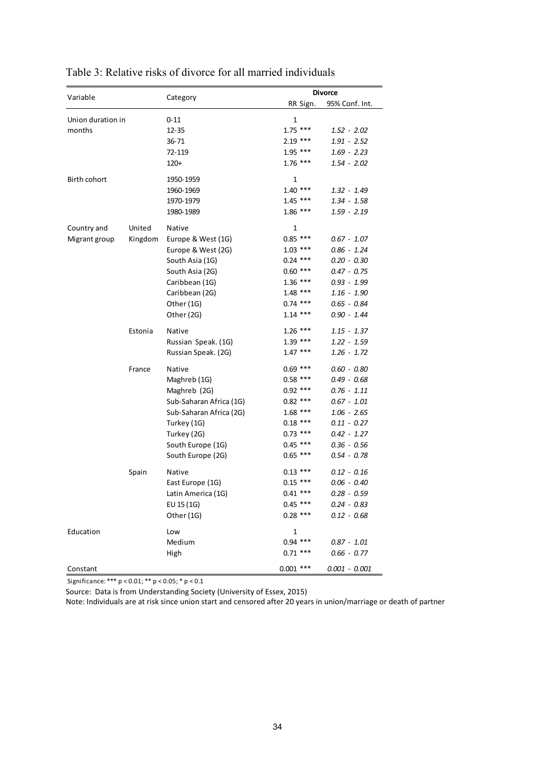|                   |         |                         |             | <b>Divorce</b>  |  |  |  |
|-------------------|---------|-------------------------|-------------|-----------------|--|--|--|
| Variable          |         | Category                | RR Sign.    | 95% Conf. Int.  |  |  |  |
| Union duration in |         | $0 - 11$                | 1           |                 |  |  |  |
| months            |         | $12 - 35$               | $1.75$ ***  | 1.52 - 2.02     |  |  |  |
|                   |         | 36-71                   | $2.19***$   | $1.91 - 2.52$   |  |  |  |
|                   |         | 72-119                  | 1.95 ***    | $1.69 - 2.23$   |  |  |  |
|                   |         | $120+$                  | $1.76***$   | $1.54 - 2.02$   |  |  |  |
| Birth cohort      |         | 1950-1959               | 1           |                 |  |  |  |
|                   |         | 1960-1969               | $1.40***$   | 1.32 - 1.49     |  |  |  |
|                   |         | 1970-1979               | $1.45***$   | 1.34 - 1.58     |  |  |  |
|                   |         | 1980-1989               | $1.86***$   | 1.59 - 2.19     |  |  |  |
| Country and       | United  | Native                  | 1           |                 |  |  |  |
| Migrant group     | Kingdom | Europe & West (1G)      | $0.85***$   | $0.67 - 1.07$   |  |  |  |
|                   |         | Europe & West (2G)      | $1.03$ ***  | $0.86 - 1.24$   |  |  |  |
|                   |         | South Asia (1G)         | $0.24$ ***  | $0.20 - 0.30$   |  |  |  |
|                   |         | South Asia (2G)         | $0.60$ ***  | $0.47 - 0.75$   |  |  |  |
|                   |         | Caribbean (1G)          | $1.36***$   | $0.93 - 1.99$   |  |  |  |
|                   |         | Caribbean (2G)          | $1.48$ ***  | $1.16 - 1.90$   |  |  |  |
|                   |         | Other (1G)              | $0.74$ ***  | $0.65 - 0.84$   |  |  |  |
|                   |         | Other (2G)              | $1.14$ ***  | 0.90 - 1.44     |  |  |  |
|                   | Estonia | <b>Native</b>           | $1.26***$   | $1.15 - 1.37$   |  |  |  |
|                   |         | Russian Speak. (1G)     | $1.39***$   | $1.22 - 1.59$   |  |  |  |
|                   |         | Russian Speak. (2G)     | $1.47***$   | $1.26 - 1.72$   |  |  |  |
|                   | France  | Native                  | $0.69$ ***  | $0.60 - 0.80$   |  |  |  |
|                   |         | Maghreb (1G)            | $0.58***$   | $0.49 - 0.68$   |  |  |  |
|                   |         | Maghreb (2G)            | $0.92$ ***  | $0.76 - 1.11$   |  |  |  |
|                   |         | Sub-Saharan Africa (1G) | $0.82$ ***  | $0.67 - 1.01$   |  |  |  |
|                   |         | Sub-Saharan Africa (2G) | $1.68***$   | $1.06 - 2.65$   |  |  |  |
|                   |         | Turkey (1G)             | $0.18$ ***  | $0.11 - 0.27$   |  |  |  |
|                   |         | Turkey (2G)             | $0.73$ ***  | $0.42 - 1.27$   |  |  |  |
|                   |         | South Europe (1G)       | $0.45$ ***  | $0.36 - 0.56$   |  |  |  |
|                   |         | South Europe (2G)       | $0.65$ ***  | $0.54 - 0.78$   |  |  |  |
|                   | Spain   | <b>Native</b>           | $0.13***$   | 0.12 - 0.16     |  |  |  |
|                   |         | East Europe (1G)        | $0.15$ ***  | $0.06 - 0.40$   |  |  |  |
|                   |         | Latin America (1G)      | $0.41$ ***  | $0.28 - 0.59$   |  |  |  |
|                   |         | EU 15 (1G)              | $0.45$ ***  | $0.24 - 0.83$   |  |  |  |
|                   |         | Other (1G)              | $0.28$ ***  | $0.12 - 0.68$   |  |  |  |
| Education         |         | Low                     | 1           |                 |  |  |  |
|                   |         | Medium                  | $0.94$ ***  | $0.87 - 1.01$   |  |  |  |
|                   |         | High                    | $0.71$ ***  | $0.66 - 0.77$   |  |  |  |
| Constant          |         |                         | $0.001$ *** | $0.001 - 0.001$ |  |  |  |

# Table 3: Relative risks of divorce for all married individuals

Significance: \*\*\* p < 0.01; \*\* p < 0.05; \* p < 0.1

Source: Data is from Understanding Society (University of Essex, 2015)

Note: Individuals are at risk since union start and censored after 20 years in union/marriage or death of partner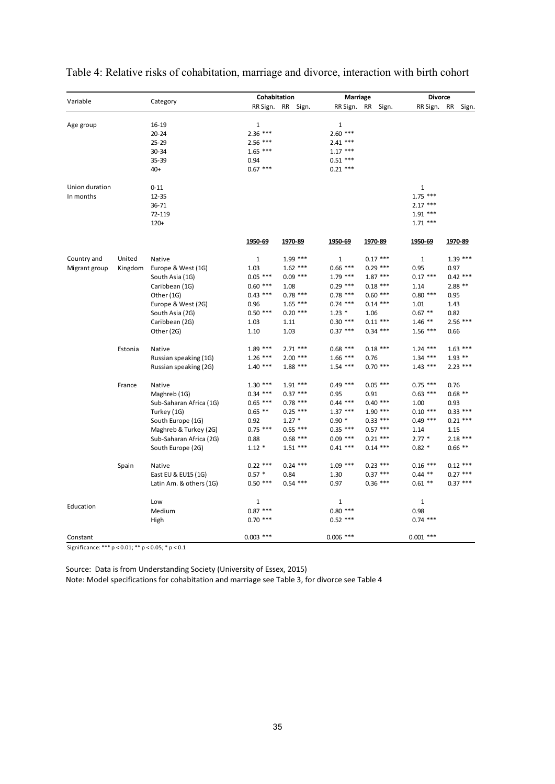| Variable                                           |         |                         | Cohabitation |            | Marriage     |                    | <b>Divorce</b> |                    |  |
|----------------------------------------------------|---------|-------------------------|--------------|------------|--------------|--------------------|----------------|--------------------|--|
|                                                    |         | Category                | RR Sign.     | RR Sign.   | RR Sign.     | <b>RR</b><br>Sign. | RR Sign.       | <b>RR</b><br>Sign. |  |
|                                                    |         |                         |              |            |              |                    |                |                    |  |
| Age group                                          |         | $16 - 19$               | $\mathbf{1}$ |            | 1            |                    |                |                    |  |
|                                                    |         | $20 - 24$               | $2.36***$    |            | $2.60$ ***   |                    |                |                    |  |
|                                                    |         | $25 - 29$               | $2.56$ ***   |            | $2.41$ ***   |                    |                |                    |  |
|                                                    |         | $30 - 34$               | $1.65$ ***   |            | $1.17***$    |                    |                |                    |  |
|                                                    |         | 35-39                   | 0.94         |            | $0.51***$    |                    |                |                    |  |
|                                                    |         | $40+$                   | $0.67***$    |            | $0.21$ ***   |                    |                |                    |  |
| Union duration                                     |         | $0 - 11$                |              |            |              |                    | 1              |                    |  |
| In months                                          |         | $12 - 35$               |              |            |              |                    | $1.75$ ***     |                    |  |
|                                                    |         | 36-71                   |              |            |              |                    | $2.17***$      |                    |  |
|                                                    |         | 72-119                  |              |            |              |                    | $1.91***$      |                    |  |
|                                                    |         | $120+$                  |              |            |              |                    | $1.71***$      |                    |  |
|                                                    |         |                         | 1950-69      | 1970-89    | 1950-69      | 1970-89            | 1950-69        | 1970-89            |  |
| Country and                                        | United  | Native                  | 1            | $1.99$ *** | $\mathbf{1}$ | $0.17***$          | $\mathbf 1$    | $1.39***$          |  |
| Migrant group                                      | Kingdom | Europe & West (1G)      | 1.03         | $1.62***$  | $0.66$ ***   | $0.29$ ***         | 0.95           | 0.97               |  |
|                                                    |         | South Asia (1G)         | $0.05$ ***   | $0.09$ *** | $1.79$ ***   | $1.87***$          | $0.17***$      | $0.42$ ***         |  |
|                                                    |         | Caribbean (1G)          | $0.60$ ***   | 1.08       | $0.29$ ***   | $0.18$ ***         | 1.14           | $2.88**$           |  |
|                                                    |         | Other (1G)              | $0.43$ ***   | $0.78$ *** | $0.78$ ***   | $0.60$ ***         | $0.80***$      | 0.95               |  |
|                                                    |         | Europe & West (2G)      | 0.96         | $1.65$ *** | $0.74$ ***   | $0.14$ ***         | 1.01           | 1.43               |  |
|                                                    |         | South Asia (2G)         | $0.50$ ***   | $0.20$ *** | $1.23 *$     | 1.06               | $0.67$ **      | 0.82               |  |
|                                                    |         | Caribbean (2G)          | 1.03         | 1.11       | $0.30***$    | $0.11***$          | $1.46$ **      | $2.56$ ***         |  |
|                                                    |         | Other (2G)              | 1.10         | 1.03       | $0.37***$    | $0.34$ ***         | $1.56$ ***     | 0.66               |  |
|                                                    |         |                         |              |            |              |                    |                |                    |  |
|                                                    | Estonia | Native                  | $1.89***$    | $2.71$ *** | $0.68$ ***   | $0.18$ ***         | $1.24$ ***     | $1.63$ ***         |  |
|                                                    |         | Russian speaking (1G)   | $1.26***$    | $2.00$ *** | $1.66$ ***   | 0.76               | $1.34$ ***     | $1.93$ **          |  |
|                                                    |         | Russian speaking (2G)   | $1.40***$    | $1.88***$  | $1.54$ ***   | $0.70$ ***         | $1.43***$      | $2.23$ ***         |  |
|                                                    | France  | Native                  | $1.30***$    | $1.91***$  | $0.49$ ***   | $0.05$ ***         | $0.75$ ***     | 0.76               |  |
|                                                    |         | Maghreb (1G)            | $0.34$ ***   | $0.37***$  | 0.95         | 0.91               | $0.63$ ***     | $0.68$ **          |  |
|                                                    |         | Sub-Saharan Africa (1G) | $0.65$ ***   | $0.78$ *** | $0.44$ ***   | $0.40$ ***         | 1.00           | 0.93               |  |
|                                                    |         | Turkey (1G)             | $0.65$ **    | $0.25$ *** | $1.37***$    | $1.90***$          | $0.10***$      | $0.33$ ***         |  |
|                                                    |         | South Europe (1G)       | 0.92         | $1.27*$    | $0.90*$      | $0.33$ ***         | $0.49$ ***     | $0.21$ ***         |  |
|                                                    |         | Maghreb & Turkey (2G)   | $0.75$ ***   | $0.55$ *** | $0.35$ ***   | $0.57$ ***         | 1.14           | 1.15               |  |
|                                                    |         | Sub-Saharan Africa (2G) | 0.88         | $0.68$ *** | $0.09$ ***   | $0.21***$          | $2.77*$        | $2.18$ ***         |  |
|                                                    |         | South Europe (2G)       | $1.12*$      | $1.51***$  | $0.41$ ***   | $0.14$ ***         | $0.82*$        | $0.66$ **          |  |
|                                                    | Spain   | Native                  | $0.22$ ***   | $0.24$ *** | $1.09$ ***   | $0.23$ ***         | $0.16$ ***     | $0.12$ ***         |  |
|                                                    |         | East EU & EU15 (1G)     | $0.57 *$     | 0.84       | 1.30         | $0.37***$          | $0.44$ **      | $0.27$ ***         |  |
|                                                    |         | Latin Am. & others (1G) | $0.50$ ***   | $0.54$ *** | 0.97         | $0.36***$          | $0.61**$       | $0.37***$          |  |
|                                                    |         | Low                     | 1            |            | 1            |                    | $1\,$          |                    |  |
| Education                                          |         | Medium                  | $0.87***$    |            | $0.80***$    |                    | 0.98           |                    |  |
|                                                    |         | High                    | $0.70$ ***   |            | $0.52$ ***   |                    | $0.74$ ***     |                    |  |
| Constant                                           |         |                         | $0.003$ ***  |            | $0.006$ ***  |                    | $0.001$ ***    |                    |  |
| Significance: *** p < 0.01; ** p < 0.05; * p < 0.1 |         |                         |              |            |              |                    |                |                    |  |

Table 4: Relative risks of cohabitation, marriage and divorce, interaction with birth cohort

Source: Data is from Understanding Society (University of Essex, 2015)

Note: Model specifications for cohabitation and marriage see Table 3, for divorce see Table 4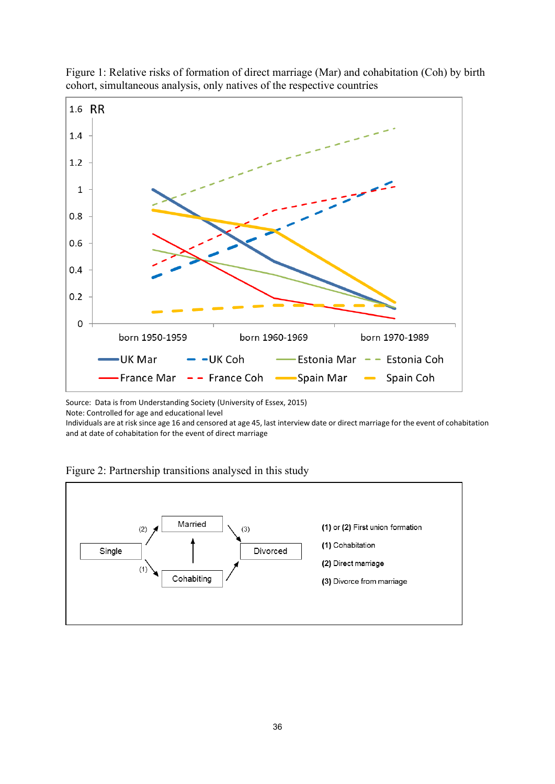



Source: Data is from Understanding Society (University of Essex, 2015)

Note: Controlled for age and educational level

Individuals are at risk since age 16 and censored at age 45, last interview date or direct marriage for the event of cohabitation and at date of cohabitation for the event of direct marriage



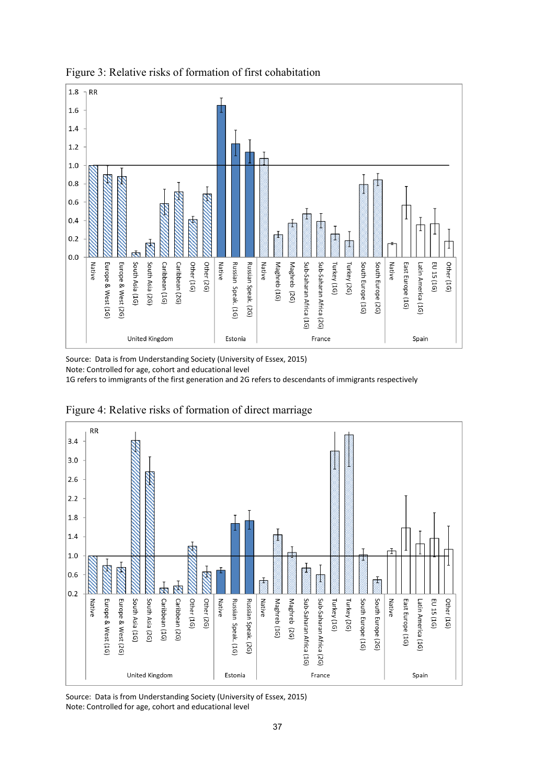



Source: Data is from Understanding Society (University of Essex, 2015) Note: Controlled for age, cohort and educational level

1G refers to immigrants of the first generation and 2G refers to descendants of immigrants respectively



Figure 4: Relative risks of formation of direct marriage

Source: Data is from Understanding Society (University of Essex, 2015) Note: Controlled for age, cohort and educational level